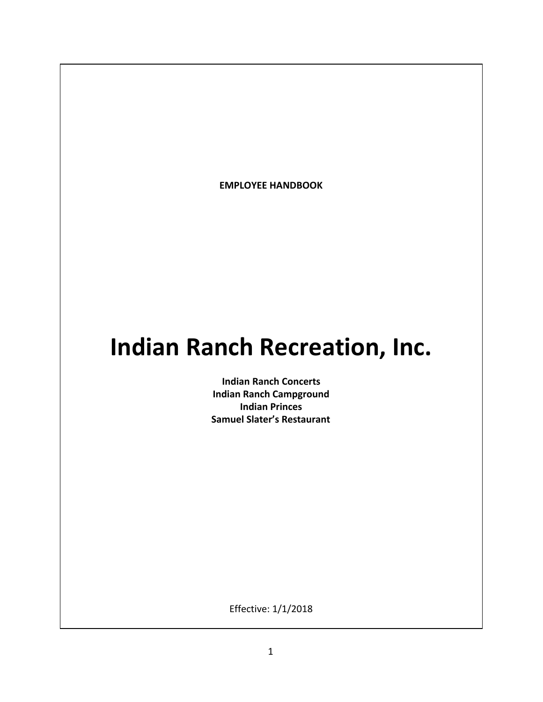**EMPLOYEE HANDBOOK**

# **Indian Ranch Recreation, Inc.**

**Indian Ranch Concerts Indian Ranch Campground Indian Princes Samuel Slater's Restaurant**

Effective: 1/1/2018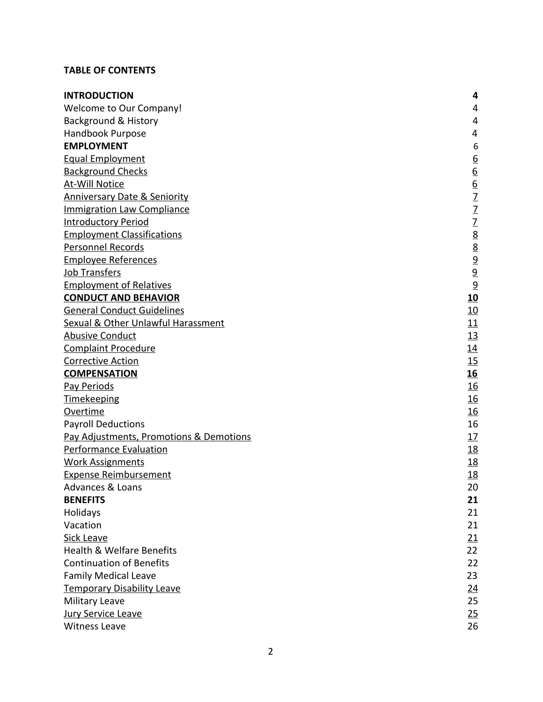# **TABLE OF CONTENTS**

| <b>INTRODUCTION</b>                     | 4                                                                                                 |
|-----------------------------------------|---------------------------------------------------------------------------------------------------|
| <b>Welcome to Our Company!</b>          | 4                                                                                                 |
| <b>Background &amp; History</b>         | 4                                                                                                 |
| Handbook Purpose                        | 4                                                                                                 |
| <b>EMPLOYMENT</b>                       | 6                                                                                                 |
| <b>Equal Employment</b>                 | $\overline{6}$                                                                                    |
| <b>Background Checks</b>                |                                                                                                   |
| <b>At-Will Notice</b>                   |                                                                                                   |
| <b>Anniversary Date &amp; Seniority</b> |                                                                                                   |
| <b>Immigration Law Compliance</b>       |                                                                                                   |
| <b>Introductory Period</b>              | $\frac{6}{2}$ $\frac{6}{2}$ $\frac{7}{2}$ $\frac{7}{2}$ $\frac{8}{8}$ $\frac{8}{9}$ $\frac{9}{9}$ |
| <b>Employment Classifications</b>       |                                                                                                   |
| Personnel Records                       |                                                                                                   |
| <b>Employee References</b>              |                                                                                                   |
| Job Transfers                           |                                                                                                   |
| <b>Employment of Relatives</b>          | 9                                                                                                 |
| <b>CONDUCT AND BEHAVIOR</b>             | <u>10</u>                                                                                         |
| <b>General Conduct Guidelines</b>       | 10                                                                                                |
| Sexual & Other Unlawful Harassment      | 11                                                                                                |
| <b>Abusive Conduct</b>                  | <u>13</u>                                                                                         |
| <b>Complaint Procedure</b>              | <u> 14</u>                                                                                        |
| <b>Corrective Action</b>                | 15                                                                                                |
| <b>COMPENSATION</b>                     | <u>16</u>                                                                                         |
| Pay Periods                             | <u>16</u>                                                                                         |
| <b>Timekeeping</b>                      | <u>16</u>                                                                                         |
| Overtime                                | <u>16</u>                                                                                         |
| <b>Payroll Deductions</b>               | 16                                                                                                |
| Pay Adjustments, Promotions & Demotions | <u>17</u>                                                                                         |
| <b>Performance Evaluation</b>           | <u>18</u>                                                                                         |
| <b>Work Assignments</b>                 | <u>18</u>                                                                                         |
| <b>Expense Reimbursement</b>            | <u>18</u>                                                                                         |
| Advances & Loans                        | 20                                                                                                |
| <b>BENEFITS</b>                         | 21                                                                                                |
| Holidays                                | 21                                                                                                |
| Vacation                                | 21                                                                                                |
| Sick Leave                              | 21                                                                                                |
| <b>Health &amp; Welfare Benefits</b>    | 22                                                                                                |
| <b>Continuation of Benefits</b>         | 22                                                                                                |
| <b>Family Medical Leave</b>             | 23                                                                                                |
| <b>Temporary Disability Leave</b>       | <u>24</u>                                                                                         |
| Military Leave                          | 25                                                                                                |
| <b>Jury Service Leave</b>               | 25                                                                                                |
| <b>Witness Leave</b>                    | 26                                                                                                |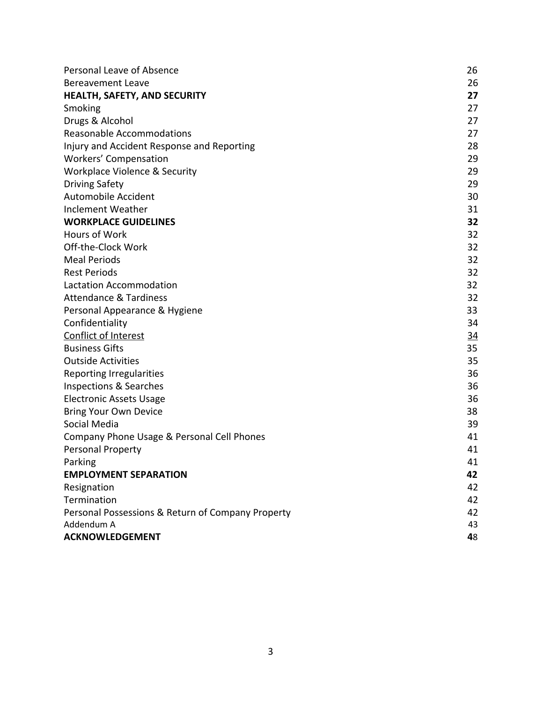<span id="page-2-0"></span>

| Personal Leave of Absence                         | 26        |
|---------------------------------------------------|-----------|
| <b>Bereavement Leave</b>                          | 26        |
| HEALTH, SAFETY, AND SECURITY                      | 27        |
| Smoking                                           | 27        |
| Drugs & Alcohol                                   | 27        |
| <b>Reasonable Accommodations</b>                  | 27        |
| Injury and Accident Response and Reporting        | 28        |
| <b>Workers' Compensation</b>                      | 29        |
| Workplace Violence & Security                     | 29        |
| <b>Driving Safety</b>                             | 29        |
| Automobile Accident                               | 30        |
| Inclement Weather                                 | 31        |
| <b>WORKPLACE GUIDELINES</b>                       | 32        |
| Hours of Work                                     | 32        |
| Off-the-Clock Work                                | 32        |
| <b>Meal Periods</b>                               | 32        |
| <b>Rest Periods</b>                               | 32        |
| <b>Lactation Accommodation</b>                    | 32        |
| <b>Attendance &amp; Tardiness</b>                 | 32        |
| Personal Appearance & Hygiene                     | 33        |
| Confidentiality                                   | 34        |
| <b>Conflict of Interest</b>                       | <u>34</u> |
| <b>Business Gifts</b>                             | 35        |
| <b>Outside Activities</b>                         | 35        |
| <b>Reporting Irregularities</b>                   | 36        |
| Inspections & Searches                            | 36        |
| <b>Electronic Assets Usage</b>                    | 36        |
| <b>Bring Your Own Device</b>                      | 38        |
| Social Media                                      | 39        |
| Company Phone Usage & Personal Cell Phones        | 41        |
| Personal Property                                 | 41        |
| Parking                                           | 41        |
| <b>EMPLOYMENT SEPARATION</b>                      | 42        |
| Resignation                                       | 42        |
| Termination                                       | 42        |
| Personal Possessions & Return of Company Property | 42        |
| Addendum A                                        | 43        |
| <b>ACKNOWLEDGEMENT</b>                            | 48        |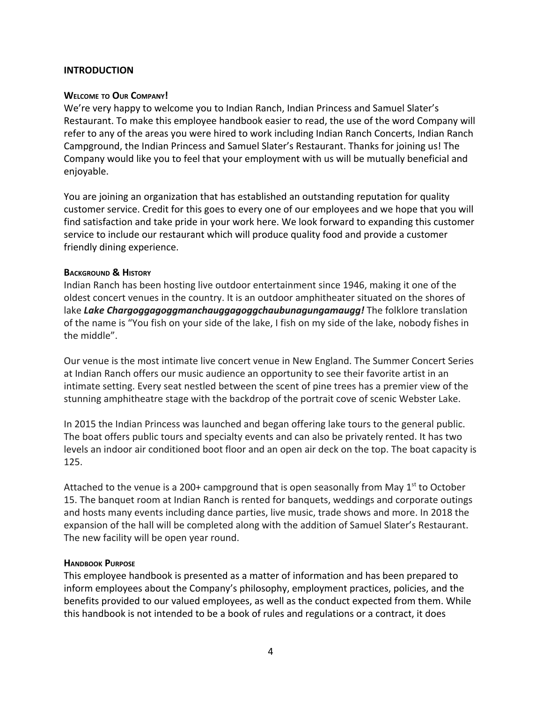## <span id="page-3-0"></span>**INTRODUCTION**

#### **WELCOME TO OUR COMPANY!**

We're very happy to welcome you to Indian Ranch, Indian Princess and Samuel Slater's Restaurant. To make this employee handbook easier to read, the use of the word Company will refer to any of the areas you were hired to work including Indian Ranch Concerts, Indian Ranch Campground, the Indian Princess and Samuel Slater's Restaurant. Thanks for joining us! The Company would like you to feel that your employment with us will be mutually beneficial and enjoyable.

You are joining an organization that has established an outstanding reputation for quality customer service. Credit for this goes to every one of our employees and we hope that you will find satisfaction and take pride in your work here. We look forward to expanding this customer service to include our restaurant which will produce quality food and provide a customer friendly dining experience.

#### <span id="page-3-1"></span>**BACKGROUND & HISTORY**

Indian Ranch has been hosting live outdoor entertainment since 1946, making it one of the oldest concert venues in the country. It is an outdoor amphitheater situated on the shores of lake *Lake Chargoggagoggmanchauggagoggchaubunagungamaugg!* The folklore translation of the name is "You fish on your side of the lake, I fish on my side of the lake, nobody fishes in the middle".

Our venue is the most intimate live concert venue in New England. The Summer Concert Series at Indian Ranch offers our music audience an opportunity to see their favorite artist in an intimate setting. Every seat nestled between the scent of pine trees has a premier view of the stunning amphitheatre stage with the backdrop of the portrait cove of scenic Webster Lake.

In 2015 the Indian Princess was launched and began offering lake tours to the general public. The boat offers public tours and specialty events and can also be privately rented. It has two levels an indoor air conditioned boot floor and an open air deck on the top. The boat capacity is 125.

Attached to the venue is a 200+ campground that is open seasonally from May  $1<sup>st</sup>$  to October 15. The banquet room at Indian Ranch is rented for banquets, weddings and corporate outings and hosts many events including dance parties, live music, trade shows and more. In 2018 the expansion of the hall will be completed along with the addition of Samuel Slater's Restaurant. The new facility will be open year round.

#### **HANDBOOK PURPOSE**

This employee handbook is presented as a matter of information and has been prepared to inform employees about the Company's philosophy, employment practices, policies, and the benefits provided to our valued employees, as well as the conduct expected from them. While this handbook is not intended to be a book of rules and regulations or a contract, it does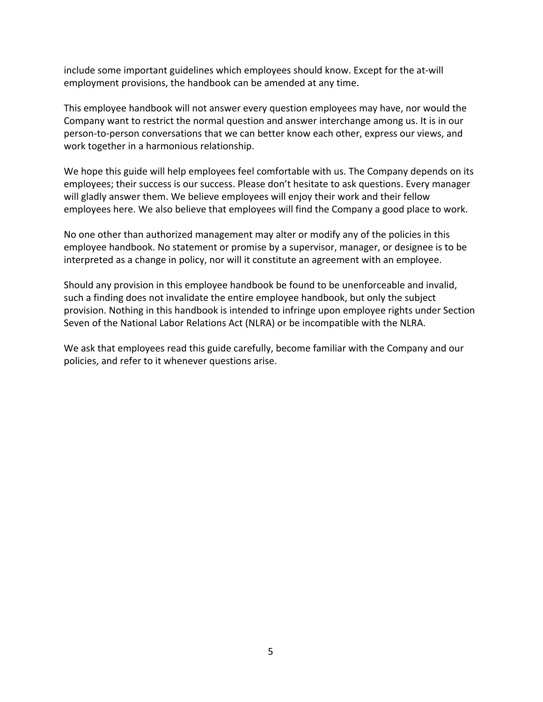include some important guidelines which employees should know. Except for the at-will employment provisions, the handbook can be amended at any time.

This employee handbook will not answer every question employees may have, nor would the Company want to restrict the normal question and answer interchange among us. It is in our person-to-person conversations that we can better know each other, express our views, and work together in a harmonious relationship.

We hope this guide will help employees feel comfortable with us. The Company depends on its employees; their success is our success. Please don't hesitate to ask questions. Every manager will gladly answer them. We believe employees will enjoy their work and their fellow employees here. We also believe that employees will find the Company a good place to work.

No one other than authorized management may alter or modify any of the policies in this employee handbook. No statement or promise by a supervisor, manager, or designee is to be interpreted as a change in policy, nor will it constitute an agreement with an employee.

Should any provision in this employee handbook be found to be unenforceable and invalid, such a finding does not invalidate the entire employee handbook, but only the subject provision. Nothing in this handbook is intended to infringe upon employee rights under Section Seven of the National Labor Relations Act (NLRA) or be incompatible with the NLRA.

<span id="page-4-0"></span>We ask that employees read this guide carefully, become familiar with the Company and our policies, and refer to it whenever questions arise.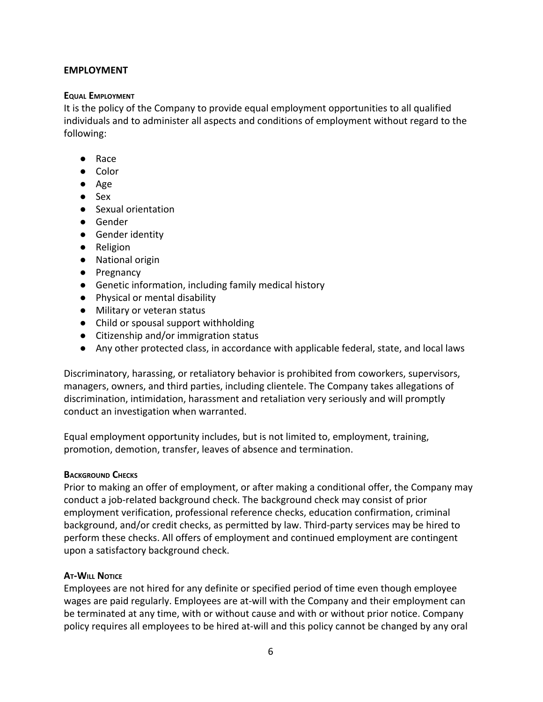## <span id="page-5-0"></span>**EMPLOYMENT**

## **EQUAL EMPLOYMENT**

It is the policy of the Company to provide equal employment opportunities to all qualified individuals and to administer all aspects and conditions of employment without regard to the following:

- Race
- Color
- Age
- Sex
- Sexual orientation
- Gender
- Gender identity
- Religion
- National origin
- Pregnancy
- Genetic information, including family medical history
- Physical or mental disability
- Military or veteran status
- Child or spousal support withholding
- Citizenship and/or immigration status
- Any other protected class, in accordance with applicable federal, state, and local laws

Discriminatory, harassing, or retaliatory behavior is prohibited from coworkers, supervisors, managers, owners, and third parties, including clientele. The Company takes allegations of discrimination, intimidation, harassment and retaliation very seriously and will promptly conduct an investigation when warranted.

Equal employment opportunity includes, but is not limited to, employment, training, promotion, demotion, transfer, leaves of absence and termination.

## <span id="page-5-1"></span>**BACKGROUND CHECKS**

Prior to making an offer of employment, or after making a conditional offer, the Company may conduct a job-related background check. The background check may consist of prior employment verification, professional reference checks, education confirmation, criminal background, and/or credit checks, as permitted by law. Third-party services may be hired to perform these checks. All offers of employment and continued employment are contingent upon a satisfactory background check.

## <span id="page-5-2"></span>**AT-WILL NOTICE**

Employees are not hired for any definite or specified period of time even though employee wages are paid regularly. Employees are at-will with the Company and their employment can be terminated at any time, with or without cause and with or without prior notice. Company policy requires all employees to be hired at-will and this policy cannot be changed by any oral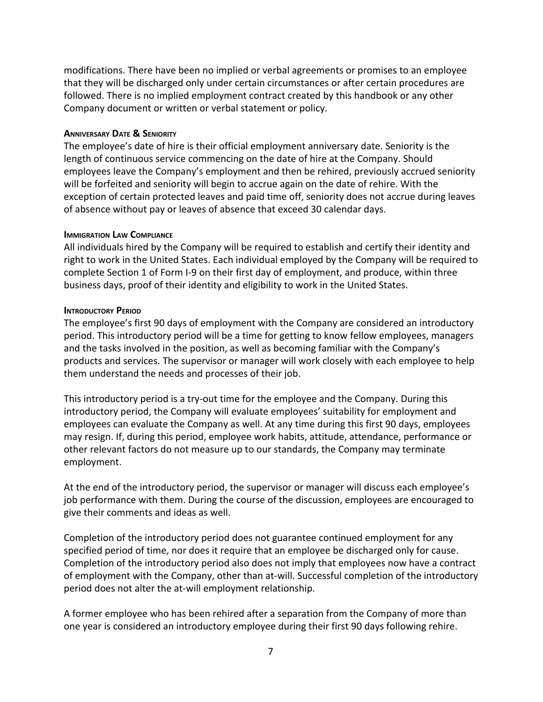modifications. There have been no implied or verbal agreements or promises to an employee that they will be discharged only under certain circumstances or after certain procedures are followed. There is no implied employment contract created by this handbook or any other Company document or written or verbal statement or policy.

#### <span id="page-6-0"></span>**ANNIVERSARY DATE & SENIORITY**

The employee's date of hire is their official employment anniversary date. Seniority is the length of continuous service commencing on the date of hire at the Company. Should employees leave the Company's employment and then be rehired, previously accrued seniority will be forfeited and seniority will begin to accrue again on the date of rehire. With the exception of certain protected leaves and paid time off, seniority does not accrue during leaves of absence without pay or leaves of absence that exceed 30 calendar days.

#### <span id="page-6-1"></span>**IMMIGRATION LAW COMPLIANCE**

All individuals hired by the Company will be required to establish and certify their identity and right to work in the United States. Each individual employed by the Company will be required to complete Section 1 of Form I-9 on their first day of employment, and produce, within three business days, proof of their identity and eligibility to work in the United States.

#### <span id="page-6-2"></span>**INTRODUCTORY PERIOD**

The employee's first 90 days of employment with the Company are considered an introductory period. This introductory period will be a time for getting to know fellow employees, managers and the tasks involved in the position, as well as becoming familiar with the Company's products and services. The supervisor or manager will work closely with each employee to help them understand the needs and processes of their job.

This introductory period is a try-out time for the employee and the Company. During this introductory period, the Company will evaluate employees' suitability for employment and employees can evaluate the Company as well. At any time during this first 90 days, employees may resign. If, during this period, employee work habits, attitude, attendance, performance or other relevant factors do not measure up to our standards, the Company may terminate employment.

At the end of the introductory period, the supervisor or manager will discuss each employee's job performance with them. During the course of the discussion, employees are encouraged to give their comments and ideas as well.

Completion of the introductory period does not guarantee continued employment for any specified period of time, nor does it require that an employee be discharged only for cause. Completion of the introductory period also does not imply that employees now have a contract of employment with the Company, other than at-will. Successful completion of the introductory period does not alter the at-will employment relationship.

A former employee who has been rehired after a separation from the Company of more than one year is considered an introductory employee during their first 90 days following rehire.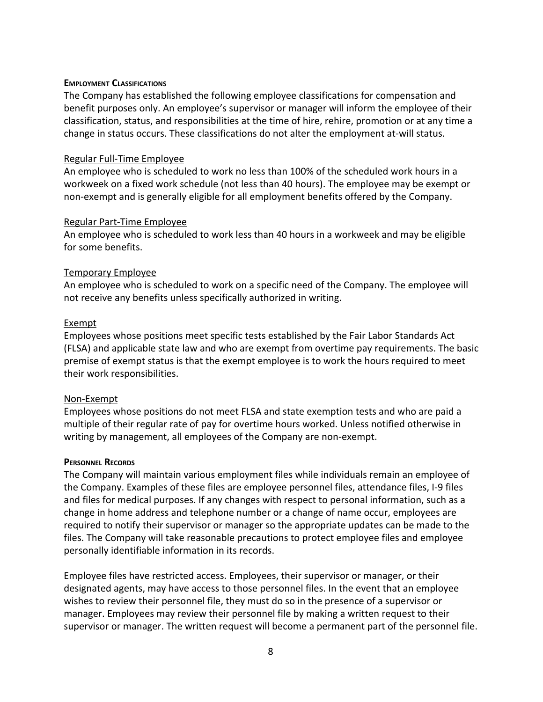#### <span id="page-7-0"></span>**EMPLOYMENT CLASSIFICATIONS**

The Company has established the following employee classifications for compensation and benefit purposes only. An employee's supervisor or manager will inform the employee of their classification, status, and responsibilities at the time of hire, rehire, promotion or at any time a change in status occurs. These classifications do not alter the employment at-will status.

## Regular Full-Time Employee

An employee who is scheduled to work no less than 100% of the scheduled work hours in a workweek on a fixed work schedule (not less than 40 hours). The employee may be exempt or non-exempt and is generally eligible for all employment benefits offered by the Company.

#### Regular Part-Time Employee

An employee who is scheduled to work less than 40 hours in a workweek and may be eligible for some benefits.

## Temporary Employee

An employee who is scheduled to work on a specific need of the Company. The employee will not receive any benefits unless specifically authorized in writing.

#### Exempt

Employees whose positions meet specific tests established by the Fair Labor Standards Act (FLSA) and applicable state law and who are exempt from overtime pay requirements. The basic premise of exempt status is that the exempt employee is to work the hours required to meet their work responsibilities.

#### Non-Exempt

Employees whose positions do not meet FLSA and state exemption tests and who are paid a multiple of their regular rate of pay for overtime hours worked. Unless notified otherwise in writing by management, all employees of the Company are non-exempt.

#### **PERSONNEL RECORDS**

The Company will maintain various employment files while individuals remain an employee of the Company. Examples of these files are employee personnel files, attendance files, I-9 files and files for medical purposes. If any changes with respect to personal information, such as a change in home address and telephone number or a change of name occur, employees are required to notify their supervisor or manager so the appropriate updates can be made to the files. The Company will take reasonable precautions to protect employee files and employee personally identifiable information in its records.

Employee files have restricted access. Employees, their supervisor or manager, or their designated agents, may have access to those personnel files. In the event that an employee wishes to review their personnel file, they must do so in the presence of a supervisor or manager. Employees may review their personnel file by making a written request to their supervisor or manager. The written request will become a permanent part of the personnel file.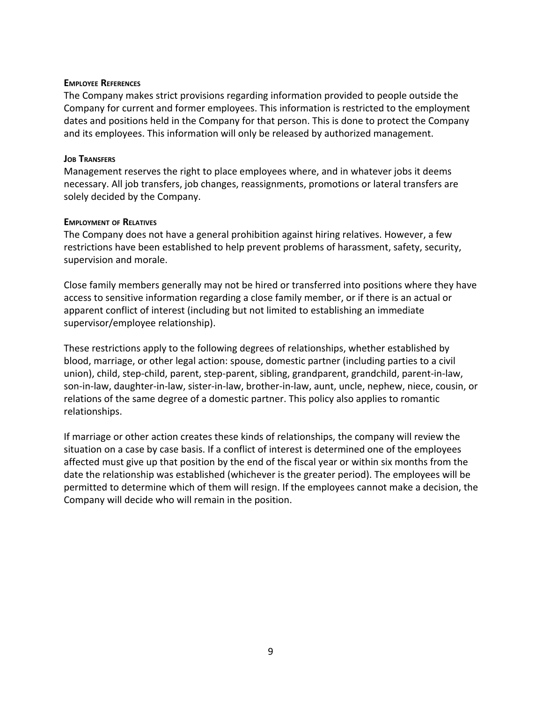#### <span id="page-8-0"></span>**EMPLOYEE REFERENCES**

The Company makes strict provisions regarding information provided to people outside the Company for current and former employees. This information is restricted to the employment dates and positions held in the Company for that person. This is done to protect the Company and its employees. This information will only be released by authorized management.

## <span id="page-8-1"></span>**JOB TRANSFERS**

Management reserves the right to place employees where, and in whatever jobs it deems necessary. All job transfers, job changes, reassignments, promotions or lateral transfers are solely decided by the Company.

#### <span id="page-8-2"></span>**EMPLOYMENT OF RELATIVES**

The Company does not have a general prohibition against hiring relatives. However, a few restrictions have been established to help prevent problems of harassment, safety, security, supervision and morale.

Close family members generally may not be hired or transferred into positions where they have access to sensitive information regarding a close family member, or if there is an actual or apparent conflict of interest (including but not limited to establishing an immediate supervisor/employee relationship).

These restrictions apply to the following degrees of relationships, whether established by blood, marriage, or other legal action: spouse, domestic partner (including parties to a civil union), child, step-child, parent, step-parent, sibling, grandparent, grandchild, parent-in-law, son-in-law, daughter-in-law, sister-in-law, brother-in-law, aunt, uncle, nephew, niece, cousin, or relations of the same degree of a domestic partner. This policy also applies to romantic relationships.

<span id="page-8-3"></span>If marriage or other action creates these kinds of relationships, the company will review the situation on a case by case basis. If a conflict of interest is determined one of the employees affected must give up that position by the end of the fiscal year or within six months from the date the relationship was established (whichever is the greater period). The employees will be permitted to determine which of them will resign. If the employees cannot make a decision, the Company will decide who will remain in the position.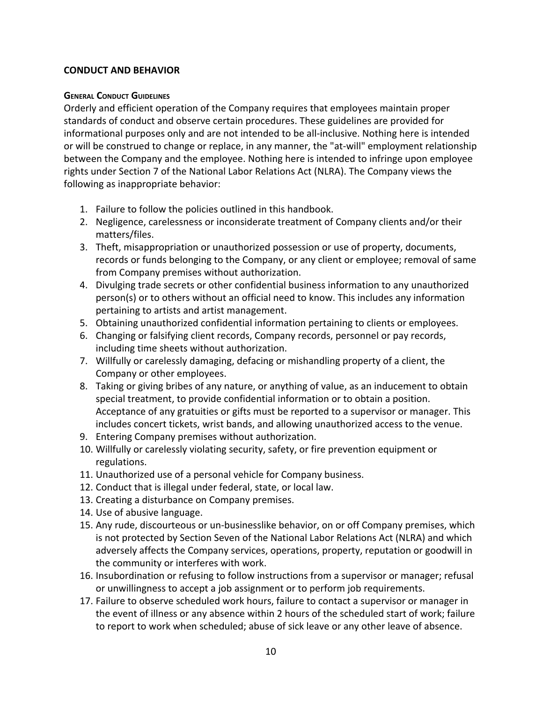## <span id="page-9-0"></span>**CONDUCT AND BEHAVIOR**

## **GENERAL CONDUCT GUIDELINES**

Orderly and efficient operation of the Company requires that employees maintain proper standards of conduct and observe certain procedures. These guidelines are provided for informational purposes only and are not intended to be all-inclusive. Nothing here is intended or will be construed to change or replace, in any manner, the "at-will" employment relationship between the Company and the employee. Nothing here is intended to infringe upon employee rights under Section 7 of the National Labor Relations Act (NLRA). The Company views the following as inappropriate behavior:

- 1. Failure to follow the policies outlined in this handbook.
- 2. Negligence, carelessness or inconsiderate treatment of Company clients and/or their matters/files.
- 3. Theft, misappropriation or unauthorized possession or use of property, documents, records or funds belonging to the Company, or any client or employee; removal of same from Company premises without authorization.
- 4. Divulging trade secrets or other confidential business information to any unauthorized person(s) or to others without an official need to know. This includes any information pertaining to artists and artist management.
- 5. Obtaining unauthorized confidential information pertaining to clients or employees.
- 6. Changing or falsifying client records, Company records, personnel or pay records, including time sheets without authorization.
- 7. Willfully or carelessly damaging, defacing or mishandling property of a client, the Company or other employees.
- 8. Taking or giving bribes of any nature, or anything of value, as an inducement to obtain special treatment, to provide confidential information or to obtain a position. Acceptance of any gratuities or gifts must be reported to a supervisor or manager. This includes concert tickets, wrist bands, and allowing unauthorized access to the venue.
- 9. Entering Company premises without authorization.
- 10. Willfully or carelessly violating security, safety, or fire prevention equipment or regulations.
- 11. Unauthorized use of a personal vehicle for Company business.
- 12. Conduct that is illegal under federal, state, or local law.
- 13. Creating a disturbance on Company premises.
- 14. Use of abusive language.
- 15. Any rude, discourteous or un-businesslike behavior, on or off Company premises, which is not protected by Section Seven of the National Labor Relations Act (NLRA) and which adversely affects the Company services, operations, property, reputation or goodwill in the community or interferes with work.
- 16. Insubordination or refusing to follow instructions from a supervisor or manager; refusal or unwillingness to accept a job assignment or to perform job requirements.
- 17. Failure to observe scheduled work hours, failure to contact a supervisor or manager in the event of illness or any absence within 2 hours of the scheduled start of work; failure to report to work when scheduled; abuse of sick leave or any other leave of absence.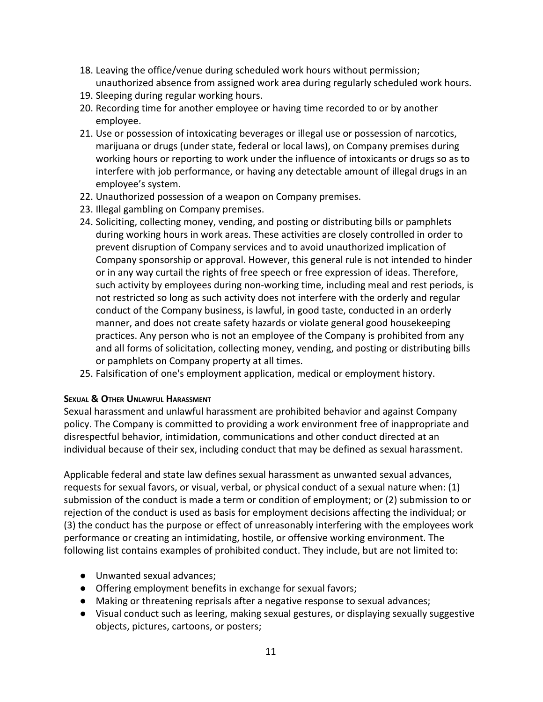- 18. Leaving the office/venue during scheduled work hours without permission; unauthorized absence from assigned work area during regularly scheduled work hours.
- 19. Sleeping during regular working hours.
- 20. Recording time for another employee or having time recorded to or by another employee.
- 21. Use or possession of intoxicating beverages or illegal use or possession of narcotics, marijuana or drugs (under state, federal or local laws), on Company premises during working hours or reporting to work under the influence of intoxicants or drugs so as to interfere with job performance, or having any detectable amount of illegal drugs in an employee's system.
- 22. Unauthorized possession of a weapon on Company premises.
- 23. Illegal gambling on Company premises.
- 24. Soliciting, collecting money, vending, and posting or distributing bills or pamphlets during working hours in work areas. These activities are closely controlled in order to prevent disruption of Company services and to avoid unauthorized implication of Company sponsorship or approval. However, this general rule is not intended to hinder or in any way curtail the rights of free speech or free expression of ideas. Therefore, such activity by employees during non-working time, including meal and rest periods, is not restricted so long as such activity does not interfere with the orderly and regular conduct of the Company business, is lawful, in good taste, conducted in an orderly manner, and does not create safety hazards or violate general good housekeeping practices. Any person who is not an employee of the Company is prohibited from any and all forms of solicitation, collecting money, vending, and posting or distributing bills or pamphlets on Company property at all times.
- 25. Falsification of one's employment application, medical or employment history.

## <span id="page-10-0"></span>**SEXUAL & OTHER UNLAWFUL HARASSMENT**

Sexual harassment and unlawful harassment are prohibited behavior and against Company policy. The Company is committed to providing a work environment free of inappropriate and disrespectful behavior, intimidation, communications and other conduct directed at an individual because of their sex, including conduct that may be defined as sexual harassment.

Applicable federal and state law defines sexual harassment as unwanted sexual advances, requests for sexual favors, or visual, verbal, or physical conduct of a sexual nature when: (1) submission of the conduct is made a term or condition of employment; or (2) submission to or rejection of the conduct is used as basis for employment decisions affecting the individual; or (3) the conduct has the purpose or effect of unreasonably interfering with the employees work performance or creating an intimidating, hostile, or offensive working environment. The following list contains examples of prohibited conduct. They include, but are not limited to:

- Unwanted sexual advances;
- Offering employment benefits in exchange for sexual favors;
- Making or threatening reprisals after a negative response to sexual advances;
- Visual conduct such as leering, making sexual gestures, or displaying sexually suggestive objects, pictures, cartoons, or posters;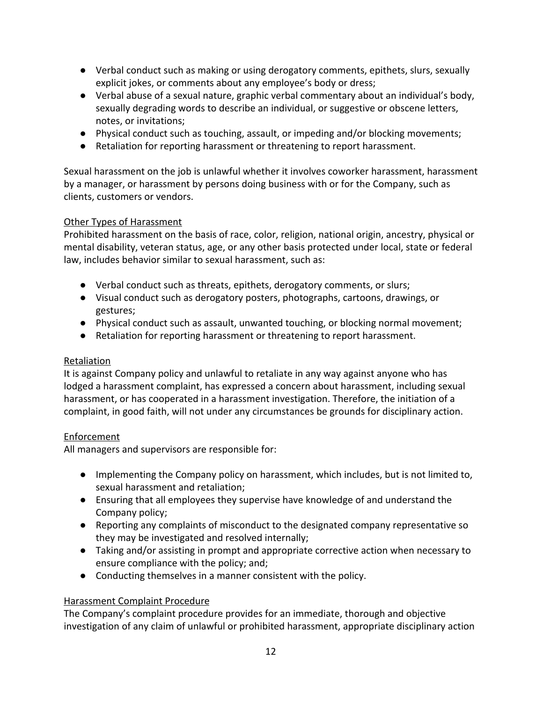- Verbal conduct such as making or using derogatory comments, epithets, slurs, sexually explicit jokes, or comments about any employee's body or dress;
- Verbal abuse of a sexual nature, graphic verbal commentary about an individual's body, sexually degrading words to describe an individual, or suggestive or obscene letters, notes, or invitations;
- Physical conduct such as touching, assault, or impeding and/or blocking movements;
- Retaliation for reporting harassment or threatening to report harassment.

Sexual harassment on the job is unlawful whether it involves coworker harassment, harassment by a manager, or harassment by persons doing business with or for the Company, such as clients, customers or vendors.

# Other Types of Harassment

Prohibited harassment on the basis of race, color, religion, national origin, ancestry, physical or mental disability, veteran status, age, or any other basis protected under local, state or federal law, includes behavior similar to sexual harassment, such as:

- Verbal conduct such as threats, epithets, derogatory comments, or slurs;
- Visual conduct such as derogatory posters, photographs, cartoons, drawings, or gestures;
- Physical conduct such as assault, unwanted touching, or blocking normal movement;
- Retaliation for reporting harassment or threatening to report harassment.

# Retaliation

It is against Company policy and unlawful to retaliate in any way against anyone who has lodged a harassment complaint, has expressed a concern about harassment, including sexual harassment, or has cooperated in a harassment investigation. Therefore, the initiation of a complaint, in good faith, will not under any circumstances be grounds for disciplinary action.

# Enforcement

All managers and supervisors are responsible for:

- Implementing the Company policy on harassment, which includes, but is not limited to, sexual harassment and retaliation;
- Ensuring that all employees they supervise have knowledge of and understand the Company policy;
- Reporting any complaints of misconduct to the designated company representative so they may be investigated and resolved internally;
- Taking and/or assisting in prompt and appropriate corrective action when necessary to ensure compliance with the policy; and;
- Conducting themselves in a manner consistent with the policy.

## Harassment Complaint Procedure

The Company's complaint procedure provides for an immediate, thorough and objective investigation of any claim of unlawful or prohibited harassment, appropriate disciplinary action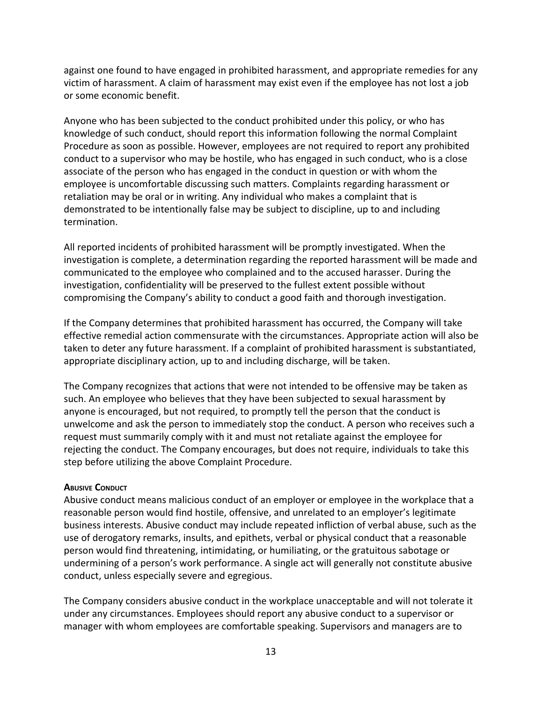against one found to have engaged in prohibited harassment, and appropriate remedies for any victim of harassment. A claim of harassment may exist even if the employee has not lost a job or some economic benefit.

Anyone who has been subjected to the conduct prohibited under this policy, or who has knowledge of such conduct, should report this information following the normal Complaint Procedure as soon as possible. However, employees are not required to report any prohibited conduct to a supervisor who may be hostile, who has engaged in such conduct, who is a close associate of the person who has engaged in the conduct in question or with whom the employee is uncomfortable discussing such matters. Complaints regarding harassment or retaliation may be oral or in writing. Any individual who makes a complaint that is demonstrated to be intentionally false may be subject to discipline, up to and including termination.

All reported incidents of prohibited harassment will be promptly investigated. When the investigation is complete, a determination regarding the reported harassment will be made and communicated to the employee who complained and to the accused harasser. During the investigation, confidentiality will be preserved to the fullest extent possible without compromising the Company's ability to conduct a good faith and thorough investigation.

If the Company determines that prohibited harassment has occurred, the Company will take effective remedial action commensurate with the circumstances. Appropriate action will also be taken to deter any future harassment. If a complaint of prohibited harassment is substantiated, appropriate disciplinary action, up to and including discharge, will be taken.

The Company recognizes that actions that were not intended to be offensive may be taken as such. An employee who believes that they have been subjected to sexual harassment by anyone is encouraged, but not required, to promptly tell the person that the conduct is unwelcome and ask the person to immediately stop the conduct. A person who receives such a request must summarily comply with it and must not retaliate against the employee for rejecting the conduct. The Company encourages, but does not require, individuals to take this step before utilizing the above Complaint Procedure.

## <span id="page-12-0"></span>**ABUSIVE CONDUCT**

Abusive conduct means malicious conduct of an employer or employee in the workplace that a reasonable person would find hostile, offensive, and unrelated to an employer's legitimate business interests. Abusive conduct may include repeated infliction of verbal abuse, such as the use of derogatory remarks, insults, and epithets, verbal or physical conduct that a reasonable person would find threatening, intimidating, or humiliating, or the gratuitous sabotage or undermining of a person's work performance. A single act will generally not constitute abusive conduct, unless especially severe and egregious.

The Company considers abusive conduct in the workplace unacceptable and will not tolerate it under any circumstances. Employees should report any abusive conduct to a supervisor or manager with whom employees are comfortable speaking. Supervisors and managers are to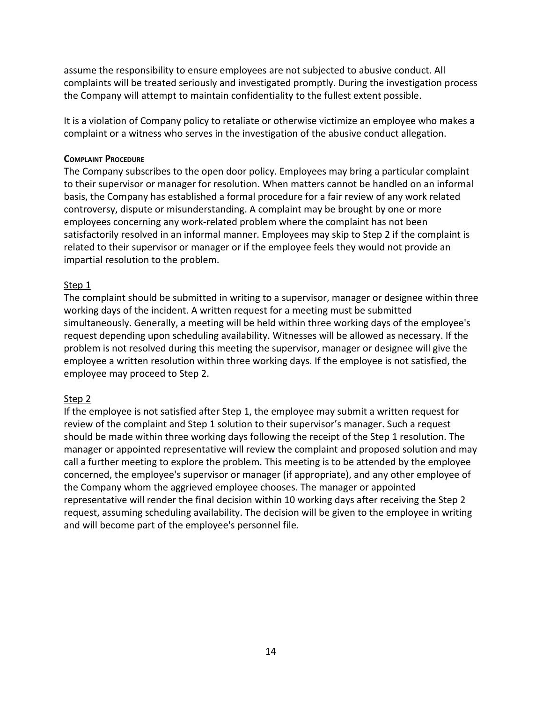assume the responsibility to ensure employees are not subjected to abusive conduct. All complaints will be treated seriously and investigated promptly. During the investigation process the Company will attempt to maintain confidentiality to the fullest extent possible.

It is a violation of Company policy to retaliate or otherwise victimize an employee who makes a complaint or a witness who serves in the investigation of the abusive conduct allegation.

## <span id="page-13-0"></span>**COMPLAINT PROCEDURE**

The Company subscribes to the open door policy. Employees may bring a particular complaint to their supervisor or manager for resolution. When matters cannot be handled on an informal basis, the Company has established a formal procedure for a fair review of any work related controversy, dispute or misunderstanding. A complaint may be brought by one or more employees concerning any work-related problem where the complaint has not been satisfactorily resolved in an informal manner. Employees may skip to Step 2 if the complaint is related to their supervisor or manager or if the employee feels they would not provide an impartial resolution to the problem.

## Step 1

The complaint should be submitted in writing to a supervisor, manager or designee within three working days of the incident. A written request for a meeting must be submitted simultaneously. Generally, a meeting will be held within three working days of the employee's request depending upon scheduling availability. Witnesses will be allowed as necessary. If the problem is not resolved during this meeting the supervisor, manager or designee will give the employee a written resolution within three working days. If the employee is not satisfied, the employee may proceed to Step 2.

## Step 2

<span id="page-13-1"></span>If the employee is not satisfied after Step 1, the employee may submit a written request for review of the complaint and Step 1 solution to their supervisor's manager. Such a request should be made within three working days following the receipt of the Step 1 resolution. The manager or appointed representative will review the complaint and proposed solution and may call a further meeting to explore the problem. This meeting is to be attended by the employee concerned, the employee's supervisor or manager (if appropriate), and any other employee of the Company whom the aggrieved employee chooses. The manager or appointed representative will render the final decision within 10 working days after receiving the Step 2 request, assuming scheduling availability. The decision will be given to the employee in writing and will become part of the employee's personnel file.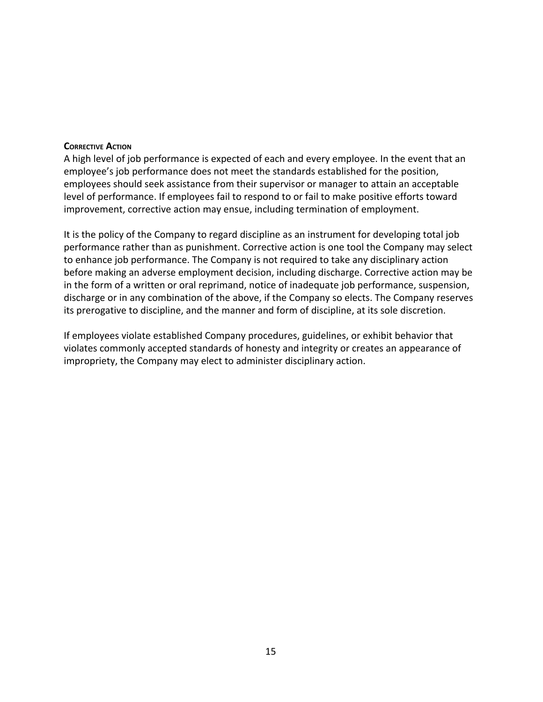#### **CORRECTIVE ACTION**

A high level of job performance is expected of each and every employee. In the event that an employee's job performance does not meet the standards established for the position, employees should seek assistance from their supervisor or manager to attain an acceptable level of performance. If employees fail to respond to or fail to make positive efforts toward improvement, corrective action may ensue, including termination of employment.

It is the policy of the Company to regard discipline as an instrument for developing total job performance rather than as punishment. Corrective action is one tool the Company may select to enhance job performance. The Company is not required to take any disciplinary action before making an adverse employment decision, including discharge. Corrective action may be in the form of a written or oral reprimand, notice of inadequate job performance, suspension, discharge or in any combination of the above, if the Company so elects. The Company reserves its prerogative to discipline, and the manner and form of discipline, at its sole discretion.

<span id="page-14-0"></span>If employees violate established Company procedures, guidelines, or exhibit behavior that violates commonly accepted standards of honesty and integrity or creates an appearance of impropriety, the Company may elect to administer disciplinary action.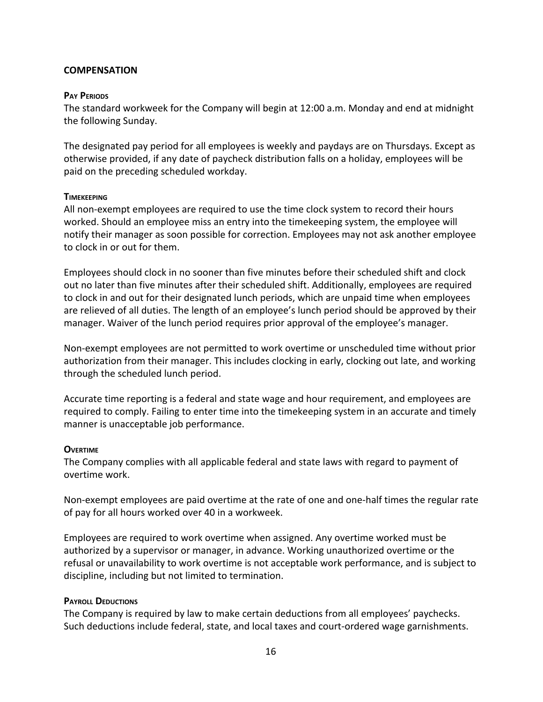## <span id="page-15-0"></span>**COMPENSATION**

#### **PAY PERIODS**

The standard workweek for the Company will begin at 12:00 a.m. Monday and end at midnight the following Sunday.

The designated pay period for all employees is weekly and paydays are on Thursdays. Except as otherwise provided, if any date of paycheck distribution falls on a holiday, employees will be paid on the preceding scheduled workday.

#### <span id="page-15-1"></span>**TIMEKEEPING**

All non-exempt employees are required to use the time clock system to record their hours worked. Should an employee miss an entry into the timekeeping system, the employee will notify their manager as soon possible for correction. Employees may not ask another employee to clock in or out for them.

Employees should clock in no sooner than five minutes before their scheduled shift and clock out no later than five minutes after their scheduled shift. Additionally, employees are required to clock in and out for their designated lunch periods, which are unpaid time when employees are relieved of all duties. The length of an employee's lunch period should be approved by their manager. Waiver of the lunch period requires prior approval of the employee's manager.

Non-exempt employees are not permitted to work overtime or unscheduled time without prior authorization from their manager. This includes clocking in early, clocking out late, and working through the scheduled lunch period.

Accurate time reporting is a federal and state wage and hour requirement, and employees are required to comply. Failing to enter time into the timekeeping system in an accurate and timely manner is unacceptable job performance.

#### <span id="page-15-2"></span>**OVERTIME**

The Company complies with all applicable federal and state laws with regard to payment of overtime work.

Non-exempt employees are paid overtime at the rate of one and one-half times the regular rate of pay for all hours worked over 40 in a workweek.

Employees are required to work overtime when assigned. Any overtime worked must be authorized by a supervisor or manager, in advance. Working unauthorized overtime or the refusal or unavailability to work overtime is not acceptable work performance, and is subject to discipline, including but not limited to termination.

#### **PAYROLL DEDUCTIONS**

The Company is required by law to make certain deductions from all employees' paychecks. Such deductions include federal, state, and local taxes and court-ordered wage garnishments.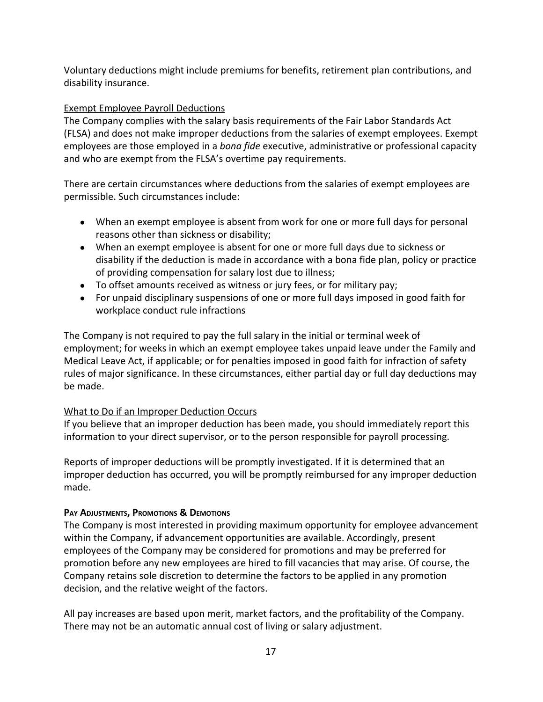Voluntary deductions might include premiums for benefits, retirement plan contributions, and disability insurance.

# Exempt Employee Payroll Deductions

The Company complies with the salary basis requirements of the Fair Labor Standards Act (FLSA) and does not make improper deductions from the salaries of exempt employees. Exempt employees are those employed in a *bona fide* executive, administrative or professional capacity and who are exempt from the FLSA's overtime pay requirements.

There are certain circumstances where deductions from the salaries of exempt employees are permissible. Such circumstances include:

- When an exempt employee is absent from work for one or more full days for personal reasons other than sickness or disability;
- When an exempt employee is absent for one or more full days due to sickness or disability if the deduction is made in accordance with a bona fide plan, policy or practice of providing compensation for salary lost due to illness;
- To offset amounts received as witness or jury fees, or for military pay;
- For unpaid disciplinary suspensions of one or more full days imposed in good faith for workplace conduct rule infractions

The Company is not required to pay the full salary in the initial or terminal week of employment; for weeks in which an exempt employee takes unpaid leave under the Family and Medical Leave Act, if applicable; or for penalties imposed in good faith for infraction of safety rules of major significance. In these circumstances, either partial day or full day deductions may be made.

# What to Do if an Improper Deduction Occurs

If you believe that an improper deduction has been made, you should immediately report this information to your direct supervisor, or to the person responsible for payroll processing.

Reports of improper deductions will be promptly investigated. If it is determined that an improper deduction has occurred, you will be promptly reimbursed for any improper deduction made.

# <span id="page-16-0"></span>**PAY ADJUSTMENTS, PROMOTIONS & DEMOTIONS**

The Company is most interested in providing maximum opportunity for employee advancement within the Company, if advancement opportunities are available. Accordingly, present employees of the Company may be considered for promotions and may be preferred for promotion before any new employees are hired to fill vacancies that may arise. Of course, the Company retains sole discretion to determine the factors to be applied in any promotion decision, and the relative weight of the factors.

All pay increases are based upon merit, market factors, and the profitability of the Company. There may not be an automatic annual cost of living or salary adjustment.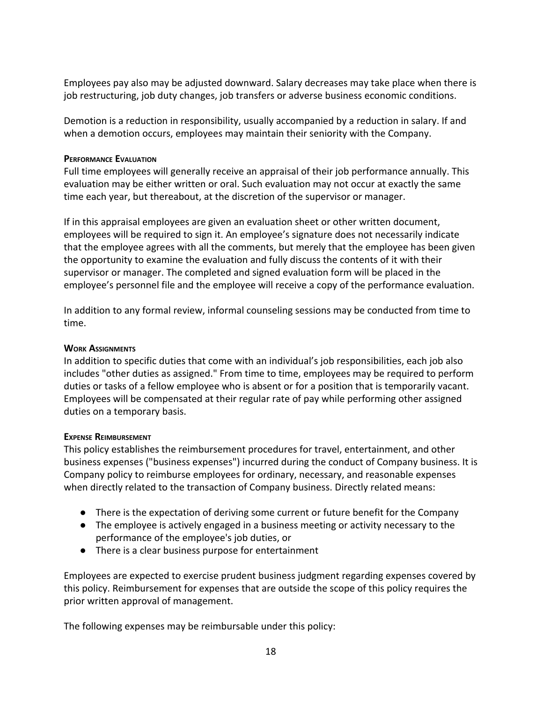Employees pay also may be adjusted downward. Salary decreases may take place when there is job restructuring, job duty changes, job transfers or adverse business economic conditions.

Demotion is a reduction in responsibility, usually accompanied by a reduction in salary. If and when a demotion occurs, employees may maintain their seniority with the Company.

## <span id="page-17-0"></span>**PERFORMANCE EVALUATION**

Full time employees will generally receive an appraisal of their job performance annually. This evaluation may be either written or oral. Such evaluation may not occur at exactly the same time each year, but thereabout, at the discretion of the supervisor or manager.

If in this appraisal employees are given an evaluation sheet or other written document, employees will be required to sign it. An employee's signature does not necessarily indicate that the employee agrees with all the comments, but merely that the employee has been given the opportunity to examine the evaluation and fully discuss the contents of it with their supervisor or manager. The completed and signed evaluation form will be placed in the employee's personnel file and the employee will receive a copy of the performance evaluation.

In addition to any formal review, informal counseling sessions may be conducted from time to time.

# <span id="page-17-1"></span>**WORK ASSIGNMENTS**

In addition to specific duties that come with an individual's job responsibilities, each job also includes "other duties as assigned." From time to time, employees may be required to perform duties or tasks of a fellow employee who is absent or for a position that is temporarily vacant. Employees will be compensated at their regular rate of pay while performing other assigned duties on a temporary basis.

## <span id="page-17-2"></span>**EXPENSE REIMBURSEMENT**

This policy establishes the reimbursement procedures for travel, entertainment, and other business expenses ("business expenses") incurred during the conduct of Company business. It is Company policy to reimburse employees for ordinary, necessary, and reasonable expenses when directly related to the transaction of Company business. Directly related means:

- There is the expectation of deriving some current or future benefit for the Company
- The employee is actively engaged in a business meeting or activity necessary to the performance of the employee's job duties, or
- There is a clear business purpose for entertainment

Employees are expected to exercise prudent business judgment regarding expenses covered by this policy. Reimbursement for expenses that are outside the scope of this policy requires the prior written approval of management.

The following expenses may be reimbursable under this policy: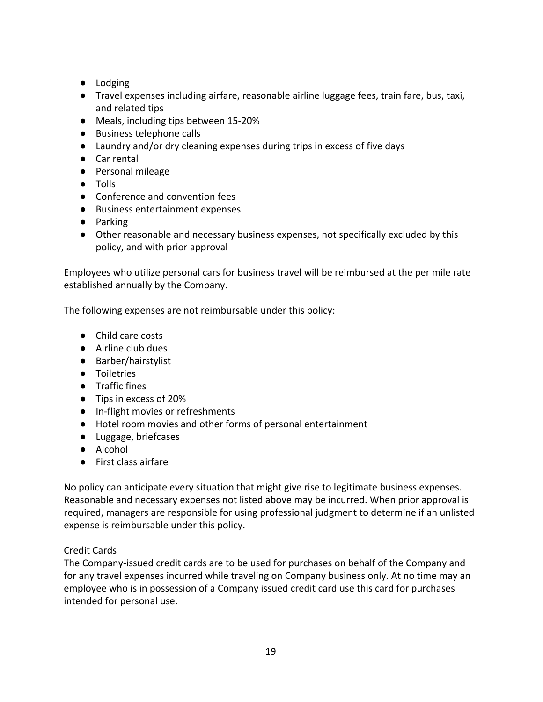- Lodging
- Travel expenses including airfare, reasonable airline luggage fees, train fare, bus, taxi, and related tips
- Meals, including tips between 15-20%
- Business telephone calls
- Laundry and/or dry cleaning expenses during trips in excess of five days
- Car rental
- Personal mileage
- Tolls
- Conference and convention fees
- Business entertainment expenses
- Parking
- Other reasonable and necessary business expenses, not specifically excluded by this policy, and with prior approval

Employees who utilize personal cars for business travel will be reimbursed at the per mile rate established annually by the Company.

The following expenses are not reimbursable under this policy:

- Child care costs
- Airline club dues
- Barber/hairstylist
- Toiletries
- Traffic fines
- Tips in excess of 20%
- In-flight movies or refreshments
- Hotel room movies and other forms of personal entertainment
- Luggage, briefcases
- Alcohol
- First class airfare

No policy can anticipate every situation that might give rise to legitimate business expenses. Reasonable and necessary expenses not listed above may be incurred. When prior approval is required, managers are responsible for using professional judgment to determine if an unlisted expense is reimbursable under this policy.

# Credit Cards

The Company-issued credit cards are to be used for purchases on behalf of the Company and for any travel expenses incurred while traveling on Company business only. At no time may an employee who is in possession of a Company issued credit card use this card for purchases intended for personal use.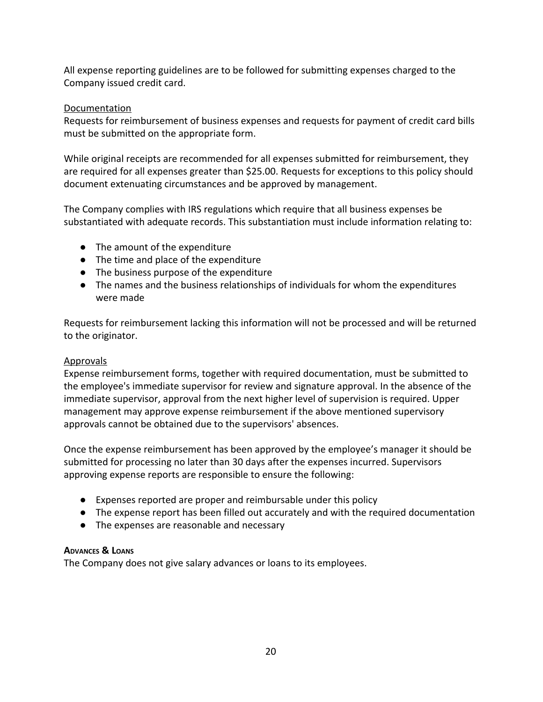All expense reporting guidelines are to be followed for submitting expenses charged to the Company issued credit card.

# Documentation

Requests for reimbursement of business expenses and requests for payment of credit card bills must be submitted on the appropriate form.

While original receipts are recommended for all expenses submitted for reimbursement, they are required for all expenses greater than \$25.00. Requests for exceptions to this policy should document extenuating circumstances and be approved by management.

The Company complies with IRS regulations which require that all business expenses be substantiated with adequate records. This substantiation must include information relating to:

- The amount of the expenditure
- The time and place of the expenditure
- The business purpose of the expenditure
- The names and the business relationships of individuals for whom the expenditures were made

Requests for reimbursement lacking this information will not be processed and will be returned to the originator.

# Approvals

Expense reimbursement forms, together with required documentation, must be submitted to the employee's immediate supervisor for review and signature approval. In the absence of the immediate supervisor, approval from the next higher level of supervision is required. Upper management may approve expense reimbursement if the above mentioned supervisory approvals cannot be obtained due to the supervisors' absences.

Once the expense reimbursement has been approved by the employee's manager it should be submitted for processing no later than 30 days after the expenses incurred. Supervisors approving expense reports are responsible to ensure the following:

- Expenses reported are proper and reimbursable under this policy
- The expense report has been filled out accurately and with the required documentation
- The expenses are reasonable and necessary

# <span id="page-19-0"></span>**ADVANCES & LOANS**

<span id="page-19-1"></span>The Company does not give salary advances or loans to its employees.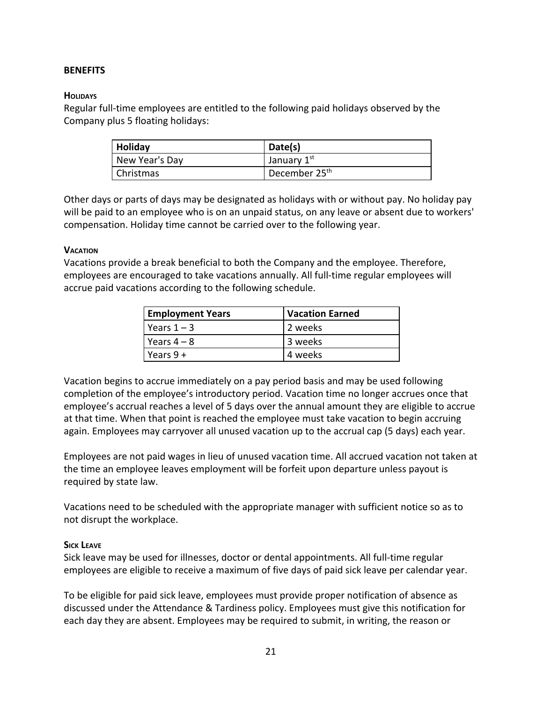## <span id="page-20-0"></span>**BENEFITS**

## **HOLIDAYS**

Regular full-time employees are entitled to the following paid holidays observed by the Company plus 5 floating holidays:

| Holiday        | Date(s)                                |
|----------------|----------------------------------------|
| New Year's Day | January 1st                            |
| Christmas      | <sup>1</sup> December 25 <sup>th</sup> |

Other days or parts of days may be designated as holidays with or without pay. No holiday pay will be paid to an employee who is on an unpaid status, on any leave or absent due to workers' compensation. Holiday time cannot be carried over to the following year.

#### <span id="page-20-1"></span>**VACATION**

Vacations provide a break beneficial to both the Company and the employee. Therefore, employees are encouraged to take vacations annually. All full-time regular employees will accrue paid vacations according to the following schedule.

| <b>Employment Years</b> | <b>Vacation Earned</b> |
|-------------------------|------------------------|
| l Years $1 - 3$         | 2 weeks                |
| l Years 4 – 8           | 3 weeks                |
| Years $9+$              | 4 weeks                |

Vacation begins to accrue immediately on a pay period basis and may be used following completion of the employee's introductory period. Vacation time no longer accrues once that employee's accrual reaches a level of 5 days over the annual amount they are eligible to accrue at that time. When that point is reached the employee must take vacation to begin accruing again. Employees may carryover all unused vacation up to the accrual cap (5 days) each year.

Employees are not paid wages in lieu of unused vacation time. All accrued vacation not taken at the time an employee leaves employment will be forfeit upon departure unless payout is required by state law.

Vacations need to be scheduled with the appropriate manager with sufficient notice so as to not disrupt the workplace.

#### <span id="page-20-2"></span>**SICK LEAVE**

Sick leave may be used for illnesses, doctor or dental appointments. All full-time regular employees are eligible to receive a maximum of five days of paid sick leave per calendar year.

To be eligible for paid sick leave, employees must provide proper notification of absence as discussed under the Attendance & Tardiness policy. Employees must give this notification for each day they are absent. Employees may be required to submit, in writing, the reason or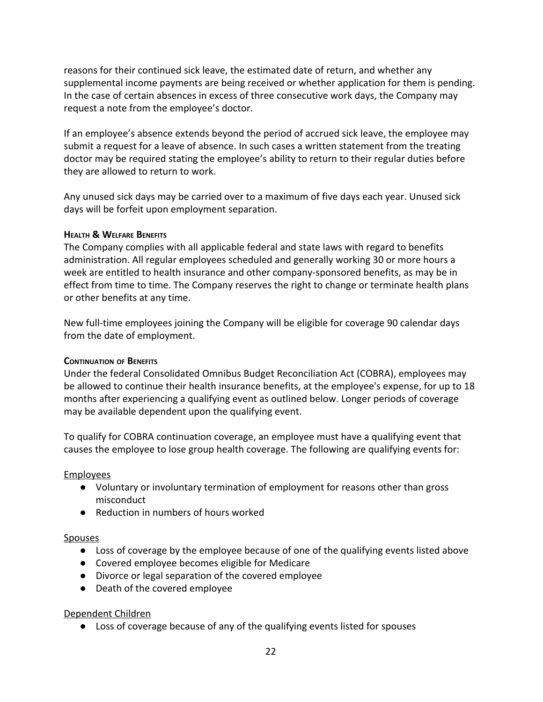reasons for their continued sick leave, the estimated date of return, and whether any supplemental income payments are being received or whether application for them is pending. In the case of certain absences in excess of three consecutive work days, the Company may request a note from the employee's doctor.

If an employee's absence extends beyond the period of accrued sick leave, the employee may submit a request for a leave of absence. In such cases a written statement from the treating doctor may be required stating the employee's ability to return to their regular duties before they are allowed to return to work.

Any unused sick days may be carried over to a maximum of five days each year. Unused sick days will be forfeit upon employment separation.

## <span id="page-21-0"></span>**HEALTH & WELFARE BENEFITS**

The Company complies with all applicable federal and state laws with regard to benefits administration. All regular employees scheduled and generally working 30 or more hours a week are entitled to health insurance and other company-sponsored benefits, as may be in effect from time to time. The Company reserves the right to change or terminate health plans or other benefits at any time.

New full-time employees joining the Company will be eligible for coverage 90 calendar days from the date of employment.

# <span id="page-21-1"></span>**CONTINUATION OF BENEFITS**

Under the federal Consolidated Omnibus Budget Reconciliation Act (COBRA), employees may be allowed to continue their health insurance benefits, at the employee's expense, for up to 18 months after experiencing a qualifying event as outlined below. Longer periods of coverage may be available dependent upon the qualifying event.

To qualify for COBRA continuation coverage, an employee must have a qualifying event that causes the employee to lose group health coverage. The following are qualifying events for:

# Employees

- Voluntary or involuntary termination of employment for reasons other than gross misconduct
- Reduction in numbers of hours worked

# Spouses

- Loss of coverage by the employee because of one of the qualifying events listed above
- Covered employee becomes eligible for Medicare
- Divorce or legal separation of the covered employee
- Death of the covered employee

# Dependent Children

● Loss of coverage because of any of the qualifying events listed for spouses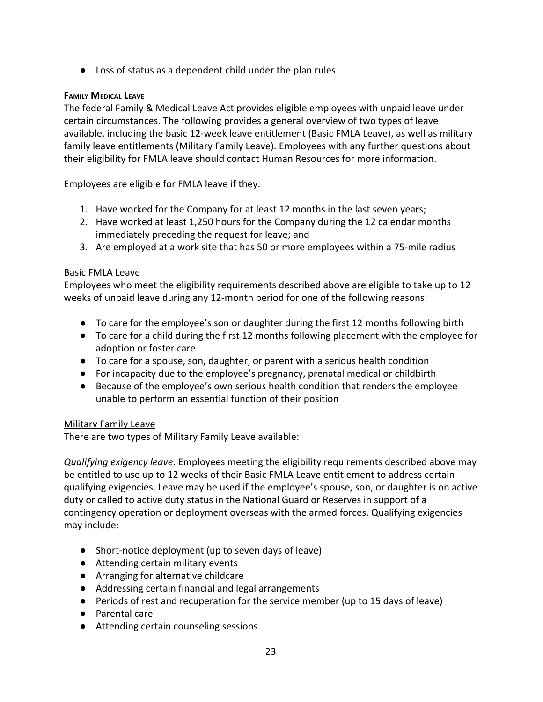● Loss of status as a dependent child under the plan rules

# <span id="page-22-0"></span>**FAMILY MEDICAL LEAVE**

The federal Family & Medical Leave Act provides eligible employees with unpaid leave under certain circumstances. The following provides a general overview of two types of leave available, including the basic 12-week leave entitlement (Basic FMLA Leave), as well as military family leave entitlements (Military Family Leave). Employees with any further questions about their eligibility for FMLA leave should contact Human Resources for more information.

Employees are eligible for FMLA leave if they:

- 1. Have worked for the Company for at least 12 months in the last seven years;
- 2. Have worked at least 1,250 hours for the Company during the 12 calendar months immediately preceding the request for leave; and
- 3. Are employed at a work site that has 50 or more employees within a 75-mile radius

## Basic FMLA Leave

Employees who meet the eligibility requirements described above are eligible to take up to 12 weeks of unpaid leave during any 12-month period for one of the following reasons:

- To care for the employee's son or daughter during the first 12 months following birth
- To care for a child during the first 12 months following placement with the employee for adoption or foster care
- To care for a spouse, son, daughter, or parent with a serious health condition
- For incapacity due to the employee's pregnancy, prenatal medical or childbirth
- Because of the employee's own serious health condition that renders the employee unable to perform an essential function of their position

## Military Family Leave

There are two types of Military Family Leave available:

*Qualifying exigency leave*. Employees meeting the eligibility requirements described above may be entitled to use up to 12 weeks of their Basic FMLA Leave entitlement to address certain qualifying exigencies. Leave may be used if the employee's spouse, son, or daughter is on active duty or called to active duty status in the National Guard or Reserves in support of a contingency operation or deployment overseas with the armed forces. Qualifying exigencies may include:

- Short-notice deployment (up to seven days of leave)
- Attending certain military events
- Arranging for alternative childcare
- Addressing certain financial and legal arrangements
- Periods of rest and recuperation for the service member (up to 15 days of leave)
- Parental care
- Attending certain counseling sessions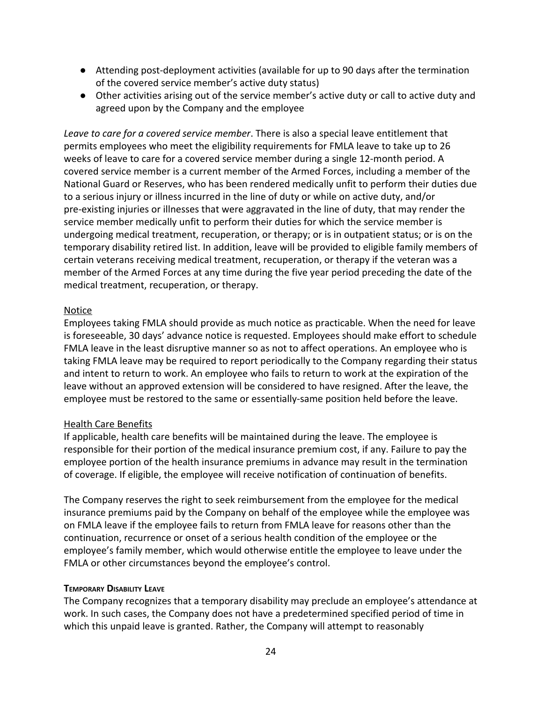- Attending post-deployment activities (available for up to 90 days after the termination of the covered service member's active duty status)
- Other activities arising out of the service member's active duty or call to active duty and agreed upon by the Company and the employee

*Leave to care for a covered service member*. There is also a special leave entitlement that permits employees who meet the eligibility requirements for FMLA leave to take up to 26 weeks of leave to care for a covered service member during a single 12-month period. A covered service member is a current member of the Armed Forces, including a member of the National Guard or Reserves, who has been rendered medically unfit to perform their duties due to a serious injury or illness incurred in the line of duty or while on active duty, and/or pre-existing injuries or illnesses that were aggravated in the line of duty, that may render the service member medically unfit to perform their duties for which the service member is undergoing medical treatment, recuperation, or therapy; or is in outpatient status; or is on the temporary disability retired list. In addition, leave will be provided to eligible family members of certain veterans receiving medical treatment, recuperation, or therapy if the veteran was a member of the Armed Forces at any time during the five year period preceding the date of the medical treatment, recuperation, or therapy.

## Notice

Employees taking FMLA should provide as much notice as practicable. When the need for leave is foreseeable, 30 days' advance notice is requested. Employees should make effort to schedule FMLA leave in the least disruptive manner so as not to affect operations. An employee who is taking FMLA leave may be required to report periodically to the Company regarding their status and intent to return to work. An employee who fails to return to work at the expiration of the leave without an approved extension will be considered to have resigned. After the leave, the employee must be restored to the same or essentially-same position held before the leave.

# Health Care Benefits

If applicable, health care benefits will be maintained during the leave. The employee is responsible for their portion of the medical insurance premium cost, if any. Failure to pay the employee portion of the health insurance premiums in advance may result in the termination of coverage. If eligible, the employee will receive notification of continuation of benefits.

The Company reserves the right to seek reimbursement from the employee for the medical insurance premiums paid by the Company on behalf of the employee while the employee was on FMLA leave if the employee fails to return from FMLA leave for reasons other than the continuation, recurrence or onset of a serious health condition of the employee or the employee's family member, which would otherwise entitle the employee to leave under the FMLA or other circumstances beyond the employee's control.

## <span id="page-23-0"></span>**TEMPORARY DISABILITY LEAVE**

The Company recognizes that a temporary disability may preclude an employee's attendance at work. In such cases, the Company does not have a predetermined specified period of time in which this unpaid leave is granted. Rather, the Company will attempt to reasonably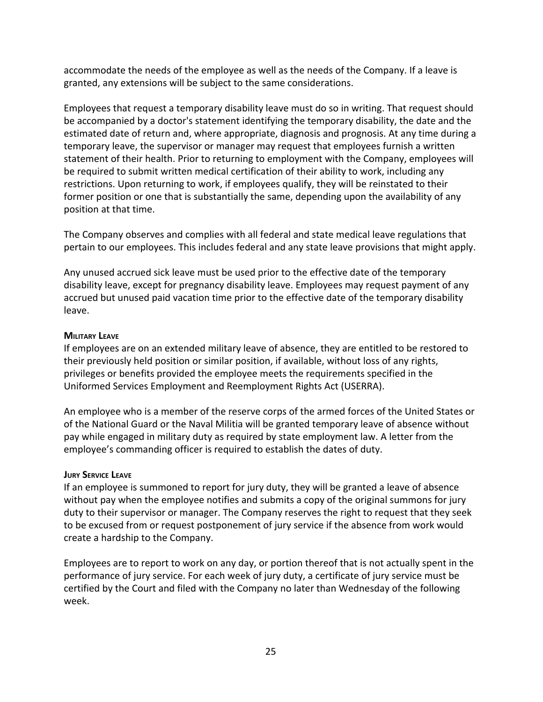accommodate the needs of the employee as well as the needs of the Company. If a leave is granted, any extensions will be subject to the same considerations.

Employees that request a temporary disability leave must do so in writing. That request should be accompanied by a doctor's statement identifying the temporary disability, the date and the estimated date of return and, where appropriate, diagnosis and prognosis. At any time during a temporary leave, the supervisor or manager may request that employees furnish a written statement of their health. Prior to returning to employment with the Company, employees will be required to submit written medical certification of their ability to work, including any restrictions. Upon returning to work, if employees qualify, they will be reinstated to their former position or one that is substantially the same, depending upon the availability of any position at that time.

The Company observes and complies with all federal and state medical leave regulations that pertain to our employees. This includes federal and any state leave provisions that might apply.

Any unused accrued sick leave must be used prior to the effective date of the temporary disability leave, except for pregnancy disability leave. Employees may request payment of any accrued but unused paid vacation time prior to the effective date of the temporary disability leave.

#### <span id="page-24-0"></span>**MILITARY LEAVE**

If employees are on an extended military leave of absence, they are entitled to be restored to their previously held position or similar position, if available, without loss of any rights, privileges or benefits provided the employee meets the requirements specified in the Uniformed Services Employment and Reemployment Rights Act (USERRA).

An employee who is a member of the reserve corps of the armed forces of the United States or of the National Guard or the Naval Militia will be granted temporary leave of absence without pay while engaged in military duty as required by state employment law. A letter from the employee's commanding officer is required to establish the dates of duty.

#### <span id="page-24-1"></span>**JURY SERVICE LEAVE**

If an employee is summoned to report for jury duty, they will be granted a leave of absence without pay when the employee notifies and submits a copy of the original summons for jury duty to their supervisor or manager. The Company reserves the right to request that they seek to be excused from or request postponement of jury service if the absence from work would create a hardship to the Company.

Employees are to report to work on any day, or portion thereof that is not actually spent in the performance of jury service. For each week of jury duty, a certificate of jury service must be certified by the Court and filed with the Company no later than Wednesday of the following week.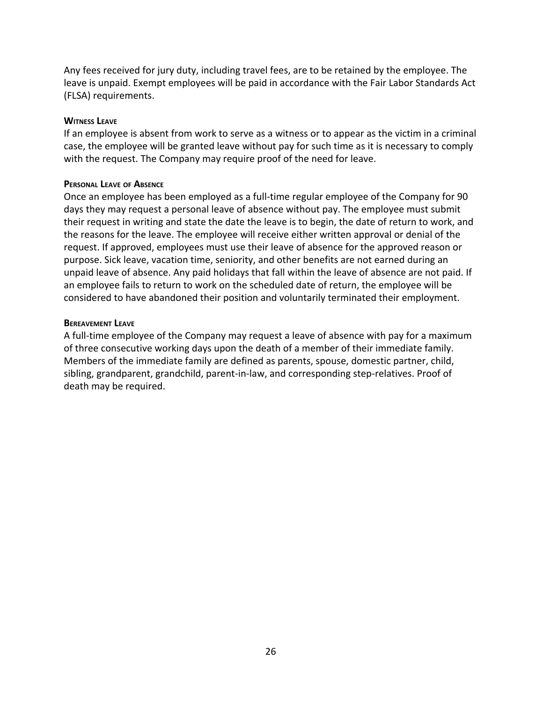Any fees received for jury duty, including travel fees, are to be retained by the employee. The leave is unpaid. Exempt employees will be paid in accordance with the Fair Labor Standards Act (FLSA) requirements.

#### <span id="page-25-0"></span>**WITNESS LEAVE**

If an employee is absent from work to serve as a witness or to appear as the victim in a criminal case, the employee will be granted leave without pay for such time as it is necessary to comply with the request. The Company may require proof of the need for leave.

#### <span id="page-25-1"></span>**PERSONAL LEAVE OF ABSENCE**

Once an employee has been employed as a full-time regular employee of the Company for 90 days they may request a personal leave of absence without pay. The employee must submit their request in writing and state the date the leave is to begin, the date of return to work, and the reasons for the leave. The employee will receive either written approval or denial of the request. If approved, employees must use their leave of absence for the approved reason or purpose. Sick leave, vacation time, seniority, and other benefits are not earned during an unpaid leave of absence. Any paid holidays that fall within the leave of absence are not paid. If an employee fails to return to work on the scheduled date of return, the employee will be considered to have abandoned their position and voluntarily terminated their employment.

#### <span id="page-25-2"></span>**BEREAVEMENT LEAVE**

<span id="page-25-3"></span>A full-time employee of the Company may request a leave of absence with pay for a maximum of three consecutive working days upon the death of a member of their immediate family. Members of the immediate family are defined as parents, spouse, domestic partner, child, sibling, grandparent, grandchild, parent-in-law, and corresponding step-relatives. Proof of death may be required.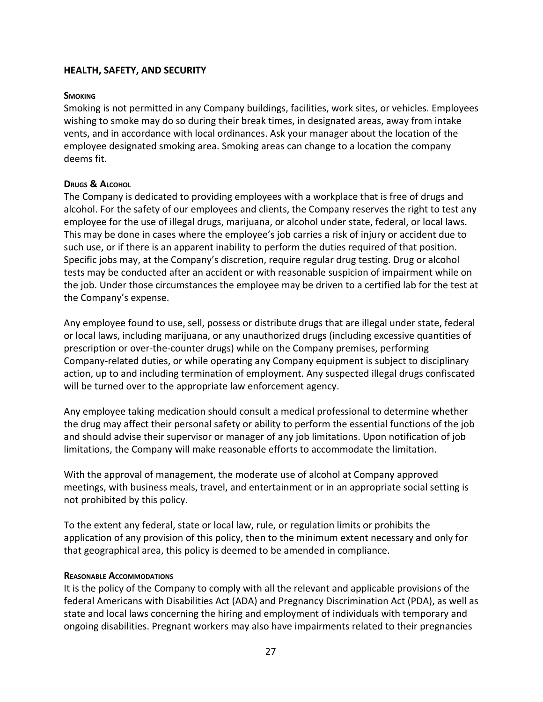## <span id="page-26-0"></span>**HEALTH, SAFETY, AND SECURITY**

#### **SMOKING**

Smoking is not permitted in any Company buildings, facilities, work sites, or vehicles. Employees wishing to smoke may do so during their break times, in designated areas, away from intake vents, and in accordance with local ordinances. Ask your manager about the location of the employee designated smoking area. Smoking areas can change to a location the company deems fit.

#### <span id="page-26-1"></span>**DRUGS & ALCOHOL**

The Company is dedicated to providing employees with a workplace that is free of drugs and alcohol. For the safety of our employees and clients, the Company reserves the right to test any employee for the use of illegal drugs, marijuana, or alcohol under state, federal, or local laws. This may be done in cases where the employee's job carries a risk of injury or accident due to such use, or if there is an apparent inability to perform the duties required of that position. Specific jobs may, at the Company's discretion, require regular drug testing. Drug or alcohol tests may be conducted after an accident or with reasonable suspicion of impairment while on the job. Under those circumstances the employee may be driven to a certified lab for the test at the Company's expense.

Any employee found to use, sell, possess or distribute drugs that are illegal under state, federal or local laws, including marijuana, or any unauthorized drugs (including excessive quantities of prescription or over-the-counter drugs) while on the Company premises, performing Company-related duties, or while operating any Company equipment is subject to disciplinary action, up to and including termination of employment. Any suspected illegal drugs confiscated will be turned over to the appropriate law enforcement agency.

Any employee taking medication should consult a medical professional to determine whether the drug may affect their personal safety or ability to perform the essential functions of the job and should advise their supervisor or manager of any job limitations. Upon notification of job limitations, the Company will make reasonable efforts to accommodate the limitation.

With the approval of management, the moderate use of alcohol at Company approved meetings, with business meals, travel, and entertainment or in an appropriate social setting is not prohibited by this policy.

To the extent any federal, state or local law, rule, or regulation limits or prohibits the application of any provision of this policy, then to the minimum extent necessary and only for that geographical area, this policy is deemed to be amended in compliance.

#### <span id="page-26-2"></span>**REASONABLE ACCOMMODATIONS**

It is the policy of the Company to comply with all the relevant and applicable provisions of the federal Americans with Disabilities Act (ADA) and Pregnancy Discrimination Act (PDA), as well as state and local laws concerning the hiring and employment of individuals with temporary and ongoing disabilities. Pregnant workers may also have impairments related to their pregnancies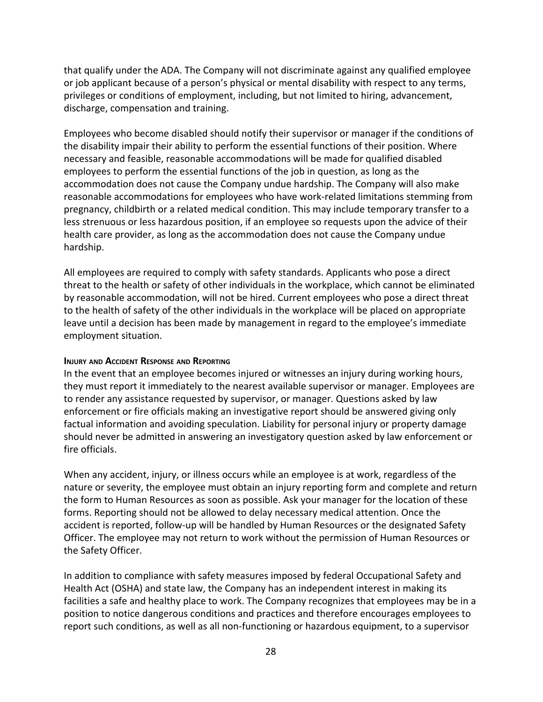that qualify under the ADA. The Company will not discriminate against any qualified employee or job applicant because of a person's physical or mental disability with respect to any terms, privileges or conditions of employment, including, but not limited to hiring, advancement, discharge, compensation and training.

Employees who become disabled should notify their supervisor or manager if the conditions of the disability impair their ability to perform the essential functions of their position. Where necessary and feasible, reasonable accommodations will be made for qualified disabled employees to perform the essential functions of the job in question, as long as the accommodation does not cause the Company undue hardship. The Company will also make reasonable accommodations for employees who have work-related limitations stemming from pregnancy, childbirth or a related medical condition. This may include temporary transfer to a less strenuous or less hazardous position, if an employee so requests upon the advice of their health care provider, as long as the accommodation does not cause the Company undue hardship.

All employees are required to comply with safety standards. Applicants who pose a direct threat to the health or safety of other individuals in the workplace, which cannot be eliminated by reasonable accommodation, will not be hired. Current employees who pose a direct threat to the health of safety of the other individuals in the workplace will be placed on appropriate leave until a decision has been made by management in regard to the employee's immediate employment situation.

## <span id="page-27-0"></span>**INJURY AND ACCIDENT RESPONSE AND REPORTING**

In the event that an employee becomes injured or witnesses an injury during working hours, they must report it immediately to the nearest available supervisor or manager. Employees are to render any assistance requested by supervisor, or manager. Questions asked by law enforcement or fire officials making an investigative report should be answered giving only factual information and avoiding speculation. Liability for personal injury or property damage should never be admitted in answering an investigatory question asked by law enforcement or fire officials.

When any accident, injury, or illness occurs while an employee is at work, regardless of the nature or severity, the employee must obtain an injury reporting form and complete and return the form to Human Resources as soon as possible. Ask your manager for the location of these forms. Reporting should not be allowed to delay necessary medical attention. Once the accident is reported, follow-up will be handled by Human Resources or the designated Safety Officer. The employee may not return to work without the permission of Human Resources or the Safety Officer.

In addition to compliance with safety measures imposed by federal Occupational Safety and Health Act (OSHA) and state law, the Company has an independent interest in making its facilities a safe and healthy place to work. The Company recognizes that employees may be in a position to notice dangerous conditions and practices and therefore encourages employees to report such conditions, as well as all non-functioning or hazardous equipment, to a supervisor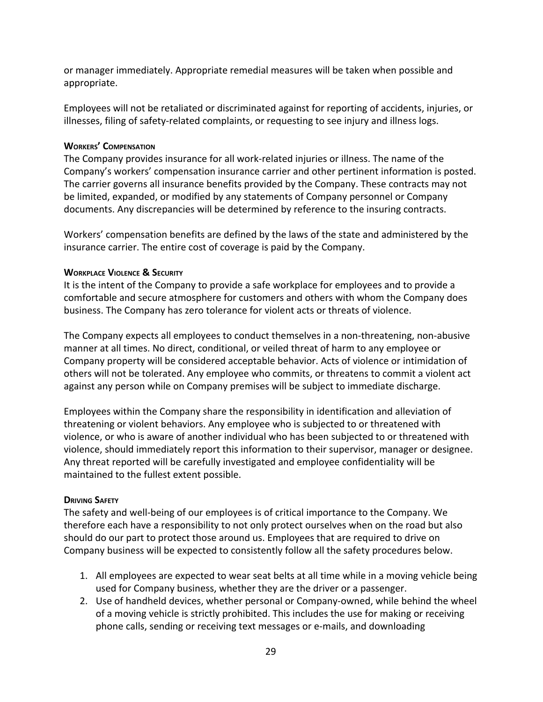or manager immediately. Appropriate remedial measures will be taken when possible and appropriate.

Employees will not be retaliated or discriminated against for reporting of accidents, injuries, or illnesses, filing of safety-related complaints, or requesting to see injury and illness logs.

## <span id="page-28-0"></span>**WORKERS' COMPENSATION**

The Company provides insurance for all work-related injuries or illness. The name of the Company's workers' compensation insurance carrier and other pertinent information is posted. The carrier governs all insurance benefits provided by the Company. These contracts may not be limited, expanded, or modified by any statements of Company personnel or Company documents. Any discrepancies will be determined by reference to the insuring contracts.

Workers' compensation benefits are defined by the laws of the state and administered by the insurance carrier. The entire cost of coverage is paid by the Company.

## <span id="page-28-1"></span>**WORKPLACE VIOLENCE & SECURITY**

It is the intent of the Company to provide a safe workplace for employees and to provide a comfortable and secure atmosphere for customers and others with whom the Company does business. The Company has zero tolerance for violent acts or threats of violence.

The Company expects all employees to conduct themselves in a non-threatening, non-abusive manner at all times. No direct, conditional, or veiled threat of harm to any employee or Company property will be considered acceptable behavior. Acts of violence or intimidation of others will not be tolerated. Any employee who commits, or threatens to commit a violent act against any person while on Company premises will be subject to immediate discharge.

Employees within the Company share the responsibility in identification and alleviation of threatening or violent behaviors. Any employee who is subjected to or threatened with violence, or who is aware of another individual who has been subjected to or threatened with violence, should immediately report this information to their supervisor, manager or designee. Any threat reported will be carefully investigated and employee confidentiality will be maintained to the fullest extent possible.

## <span id="page-28-2"></span>**DRIVING SAFETY**

The safety and well-being of our employees is of critical importance to the Company. We therefore each have a responsibility to not only protect ourselves when on the road but also should do our part to protect those around us. Employees that are required to drive on Company business will be expected to consistently follow all the safety procedures below.

- 1. All employees are expected to wear seat belts at all time while in a moving vehicle being used for Company business, whether they are the driver or a passenger.
- 2. Use of handheld devices, whether personal or Company-owned, while behind the wheel of a moving vehicle is strictly prohibited. This includes the use for making or receiving phone calls, sending or receiving text messages or e-mails, and downloading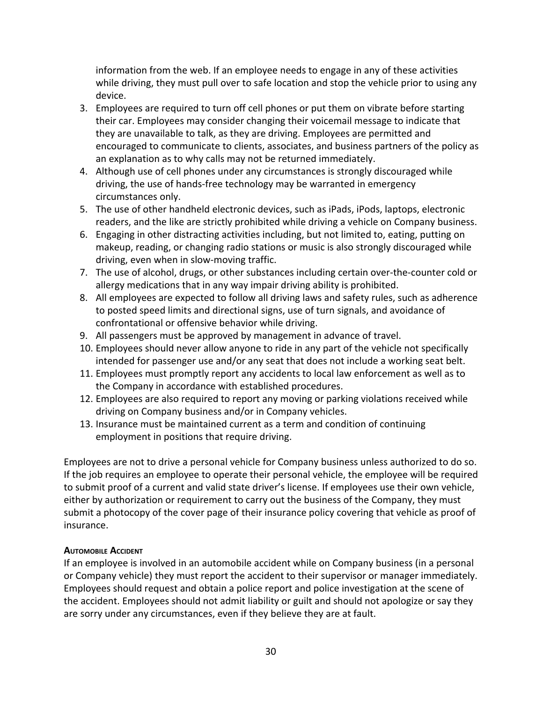information from the web. If an employee needs to engage in any of these activities while driving, they must pull over to safe location and stop the vehicle prior to using any device.

- 3. Employees are required to turn off cell phones or put them on vibrate before starting their car. Employees may consider changing their voicemail message to indicate that they are unavailable to talk, as they are driving. Employees are permitted and encouraged to communicate to clients, associates, and business partners of the policy as an explanation as to why calls may not be returned immediately.
- 4. Although use of cell phones under any circumstances is strongly discouraged while driving, the use of hands-free technology may be warranted in emergency circumstances only.
- 5. The use of other handheld electronic devices, such as iPads, iPods, laptops, electronic readers, and the like are strictly prohibited while driving a vehicle on Company business.
- 6. Engaging in other distracting activities including, but not limited to, eating, putting on makeup, reading, or changing radio stations or music is also strongly discouraged while driving, even when in slow-moving traffic.
- 7. The use of alcohol, drugs, or other substances including certain over-the-counter cold or allergy medications that in any way impair driving ability is prohibited.
- 8. All employees are expected to follow all driving laws and safety rules, such as adherence to posted speed limits and directional signs, use of turn signals, and avoidance of confrontational or offensive behavior while driving.
- 9. All passengers must be approved by management in advance of travel.
- 10. Employees should never allow anyone to ride in any part of the vehicle not specifically intended for passenger use and/or any seat that does not include a working seat belt.
- 11. Employees must promptly report any accidents to local law enforcement as well as to the Company in accordance with established procedures.
- 12. Employees are also required to report any moving or parking violations received while driving on Company business and/or in Company vehicles.
- 13. Insurance must be maintained current as a term and condition of continuing employment in positions that require driving.

Employees are not to drive a personal vehicle for Company business unless authorized to do so. If the job requires an employee to operate their personal vehicle, the employee will be required to submit proof of a current and valid state driver's license. If employees use their own vehicle, either by authorization or requirement to carry out the business of the Company, they must submit a photocopy of the cover page of their insurance policy covering that vehicle as proof of insurance.

## <span id="page-29-0"></span>**AUTOMOBILE ACCIDENT**

<span id="page-29-1"></span>If an employee is involved in an automobile accident while on Company business (in a personal or Company vehicle) they must report the accident to their supervisor or manager immediately. Employees should request and obtain a police report and police investigation at the scene of the accident. Employees should not admit liability or guilt and should not apologize or say they are sorry under any circumstances, even if they believe they are at fault.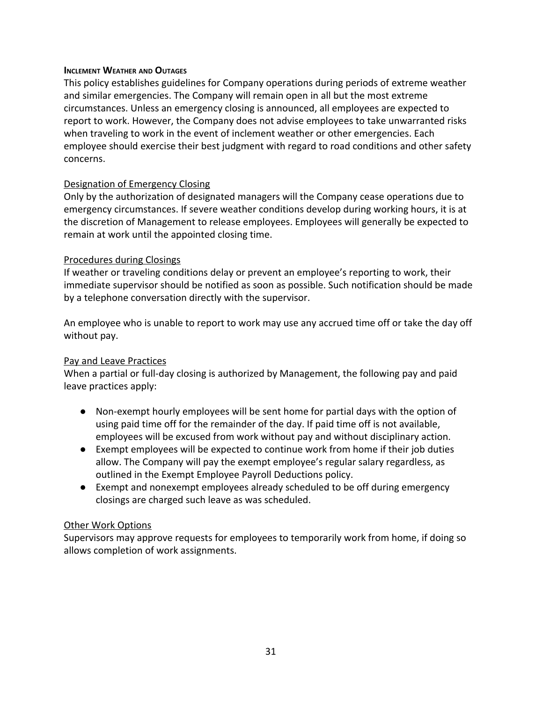## **INCLEMENT WEATHER AND OUTAGES**

This policy establishes guidelines for Company operations during periods of extreme weather and similar emergencies. The Company will remain open in all but the most extreme circumstances. Unless an emergency closing is announced, all employees are expected to report to work. However, the Company does not advise employees to take unwarranted risks when traveling to work in the event of inclement weather or other emergencies. Each employee should exercise their best judgment with regard to road conditions and other safety concerns.

## Designation of Emergency Closing

Only by the authorization of designated managers will the Company cease operations due to emergency circumstances. If severe weather conditions develop during working hours, it is at the discretion of Management to release employees. Employees will generally be expected to remain at work until the appointed closing time.

## Procedures during Closings

If weather or traveling conditions delay or prevent an employee's reporting to work, their immediate supervisor should be notified as soon as possible. Such notification should be made by a telephone conversation directly with the supervisor.

An employee who is unable to report to work may use any accrued time off or take the day off without pay.

## Pay and Leave Practices

When a partial or full-day closing is authorized by Management, the following pay and paid leave practices apply:

- Non-exempt hourly employees will be sent home for partial days with the option of using paid time off for the remainder of the day. If paid time off is not available, employees will be excused from work without pay and without disciplinary action.
- Exempt employees will be expected to continue work from home if their job duties allow. The Company will pay the exempt employee's regular salary regardless, as outlined in the Exempt Employee Payroll Deductions policy.
- Exempt and nonexempt employees already scheduled to be off during emergency closings are charged such leave as was scheduled.

## Other Work Options

<span id="page-30-0"></span>Supervisors may approve requests for employees to temporarily work from home, if doing so allows completion of work assignments.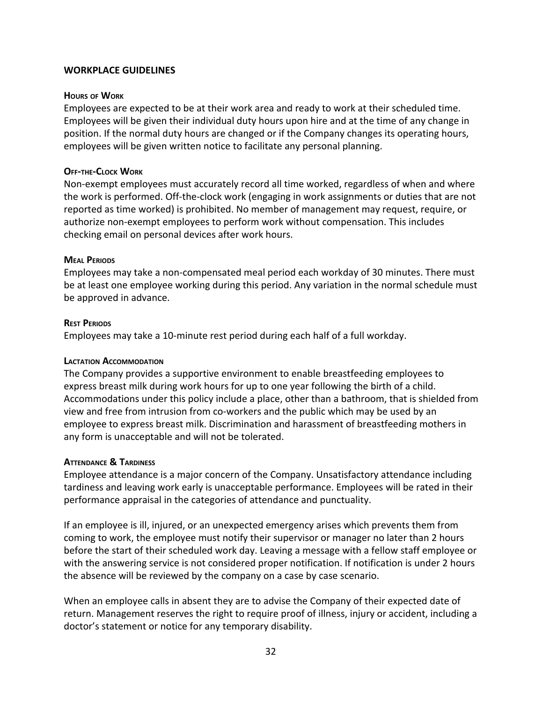## <span id="page-31-0"></span>**WORKPLACE GUIDELINES**

#### **HOURS OF WORK**

Employees are expected to be at their work area and ready to work at their scheduled time. Employees will be given their individual duty hours upon hire and at the time of any change in position. If the normal duty hours are changed or if the Company changes its operating hours, employees will be given written notice to facilitate any personal planning.

#### **OFF-THE-CLOCK WORK**

Non-exempt employees must accurately record all time worked, regardless of when and where the work is performed. Off-the-clock work (engaging in work assignments or duties that are not reported as time worked) is prohibited. No member of management may request, require, or authorize non-exempt employees to perform work without compensation. This includes checking email on personal devices after work hours.

#### <span id="page-31-1"></span>**MEAL PERIODS**

Employees may take a non-compensated meal period each workday of 30 minutes. There must be at least one employee working during this period. Any variation in the normal schedule must be approved in advance.

#### <span id="page-31-2"></span>**REST PERIODS**

<span id="page-31-3"></span>Employees may take a 10-minute rest period during each half of a full workday.

## **LACTATION ACCOMMODATION**

The Company provides a supportive environment to enable breastfeeding employees to express breast milk during work hours for up to one year following the birth of a child. Accommodations under this policy include a place, other than a bathroom, that is shielded from view and free from intrusion from co-workers and the public which may be used by an employee to express breast milk. Discrimination and harassment of breastfeeding mothers in any form is unacceptable and will not be tolerated.

#### <span id="page-31-4"></span>**ATTENDANCE & TARDINESS**

Employee attendance is a major concern of the Company. Unsatisfactory attendance including tardiness and leaving work early is unacceptable performance. Employees will be rated in their performance appraisal in the categories of attendance and punctuality.

If an employee is ill, injured, or an unexpected emergency arises which prevents them from coming to work, the employee must notify their supervisor or manager no later than 2 hours before the start of their scheduled work day. Leaving a message with a fellow staff employee or with the answering service is not considered proper notification. If notification is under 2 hours the absence will be reviewed by the company on a case by case scenario.

When an employee calls in absent they are to advise the Company of their expected date of return. Management reserves the right to require proof of illness, injury or accident, including a doctor's statement or notice for any temporary disability.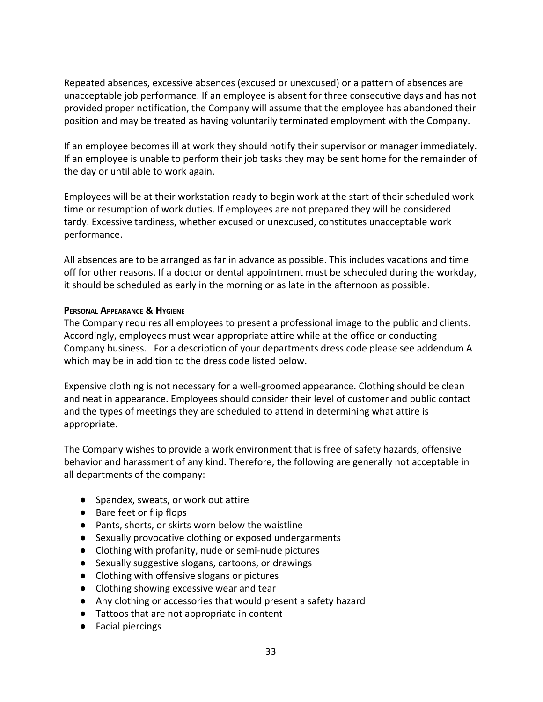Repeated absences, excessive absences (excused or unexcused) or a pattern of absences are unacceptable job performance. If an employee is absent for three consecutive days and has not provided proper notification, the Company will assume that the employee has abandoned their position and may be treated as having voluntarily terminated employment with the Company.

If an employee becomes ill at work they should notify their supervisor or manager immediately. If an employee is unable to perform their job tasks they may be sent home for the remainder of the day or until able to work again.

Employees will be at their workstation ready to begin work at the start of their scheduled work time or resumption of work duties. If employees are not prepared they will be considered tardy. Excessive tardiness, whether excused or unexcused, constitutes unacceptable work performance.

All absences are to be arranged as far in advance as possible. This includes vacations and time off for other reasons. If a doctor or dental appointment must be scheduled during the workday, it should be scheduled as early in the morning or as late in the afternoon as possible.

#### <span id="page-32-0"></span>**PERSONAL APPEARANCE & HYGIENE**

The Company requires all employees to present a professional image to the public and clients. Accordingly, employees must wear appropriate attire while at the office or conducting Company business. For a description of your departments dress code please see addendum A which may be in addition to the dress code listed below.

Expensive clothing is not necessary for a well-groomed appearance. Clothing should be clean and neat in appearance. Employees should consider their level of customer and public contact and the types of meetings they are scheduled to attend in determining what attire is appropriate.

The Company wishes to provide a work environment that is free of safety hazards, offensive behavior and harassment of any kind. Therefore, the following are generally not acceptable in all departments of the company:

- Spandex, sweats, or work out attire
- Bare feet or flip flops
- Pants, shorts, or skirts worn below the waistline
- Sexually provocative clothing or exposed undergarments
- Clothing with profanity, nude or semi-nude pictures
- Sexually suggestive slogans, cartoons, or drawings
- Clothing with offensive slogans or pictures
- Clothing showing excessive wear and tear
- Any clothing or accessories that would present a safety hazard
- Tattoos that are not appropriate in content
- Facial piercings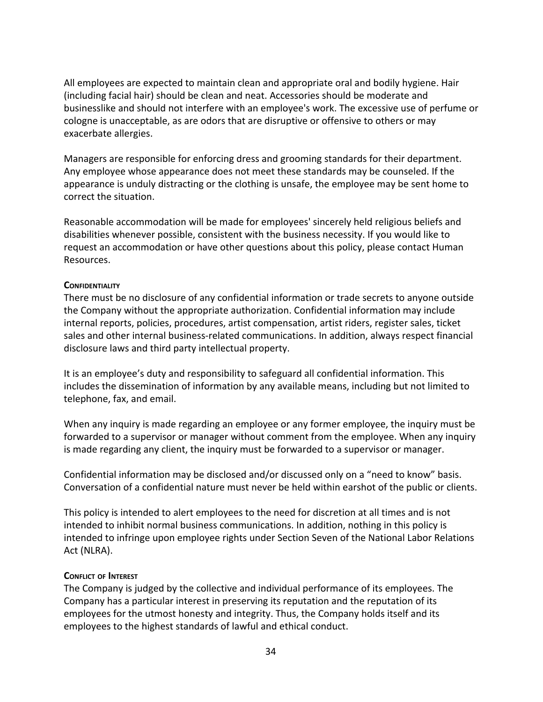All employees are expected to maintain clean and appropriate oral and bodily hygiene. Hair (including facial hair) should be clean and neat. Accessories should be moderate and businesslike and should not interfere with an employee's work. The excessive use of perfume or cologne is unacceptable, as are odors that are disruptive or offensive to others or may exacerbate allergies.

Managers are responsible for enforcing dress and grooming standards for their department. Any employee whose appearance does not meet these standards may be counseled. If the appearance is unduly distracting or the clothing is unsafe, the employee may be sent home to correct the situation.

Reasonable accommodation will be made for employees' sincerely held religious beliefs and disabilities whenever possible, consistent with the business necessity. If you would like to request an accommodation or have other questions about this policy, please contact Human Resources.

## <span id="page-33-0"></span>**CONFIDENTIALITY**

There must be no disclosure of any confidential information or trade secrets to anyone outside the Company without the appropriate authorization. Confidential information may include internal reports, policies, procedures, artist compensation, artist riders, register sales, ticket sales and other internal business-related communications. In addition, always respect financial disclosure laws and third party intellectual property.

It is an employee's duty and responsibility to safeguard all confidential information. This includes the dissemination of information by any available means, including but not limited to telephone, fax, and email.

When any inquiry is made regarding an employee or any former employee, the inquiry must be forwarded to a supervisor or manager without comment from the employee. When any inquiry is made regarding any client, the inquiry must be forwarded to a supervisor or manager.

Confidential information may be disclosed and/or discussed only on a "need to know" basis. Conversation of a confidential nature must never be held within earshot of the public or clients.

This policy is intended to alert employees to the need for discretion at all times and is not intended to inhibit normal business communications. In addition, nothing in this policy is intended to infringe upon employee rights under Section Seven of the National Labor Relations Act (NLRA).

## <span id="page-33-1"></span>**CONFLICT OF INTEREST**

The Company is judged by the collective and individual performance of its employees. The Company has a particular interest in preserving its reputation and the reputation of its employees for the utmost honesty and integrity. Thus, the Company holds itself and its employees to the highest standards of lawful and ethical conduct.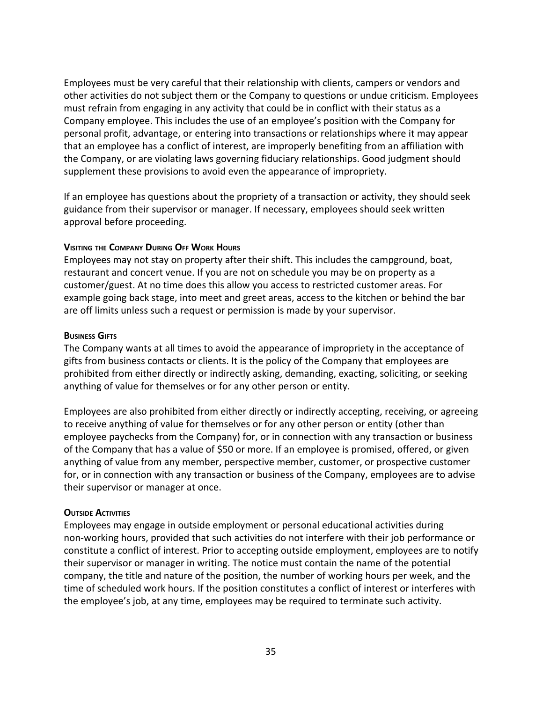Employees must be very careful that their relationship with clients, campers or vendors and other activities do not subject them or the Company to questions or undue criticism. Employees must refrain from engaging in any activity that could be in conflict with their status as a Company employee. This includes the use of an employee's position with the Company for personal profit, advantage, or entering into transactions or relationships where it may appear that an employee has a conflict of interest, are improperly benefiting from an affiliation with the Company, or are violating laws governing fiduciary relationships. Good judgment should supplement these provisions to avoid even the appearance of impropriety.

If an employee has questions about the propriety of a transaction or activity, they should seek guidance from their supervisor or manager. If necessary, employees should seek written approval before proceeding.

#### <span id="page-34-0"></span>**VISITING THE COMPANY DURING OFF WORK HOURS**

Employees may not stay on property after their shift. This includes the campground, boat, restaurant and concert venue. If you are not on schedule you may be on property as a customer/guest. At no time does this allow you access to restricted customer areas. For example going back stage, into meet and greet areas, access to the kitchen or behind the bar are off limits unless such a request or permission is made by your supervisor.

#### **BUSINESS GIFTS**

The Company wants at all times to avoid the appearance of impropriety in the acceptance of gifts from business contacts or clients. It is the policy of the Company that employees are prohibited from either directly or indirectly asking, demanding, exacting, soliciting, or seeking anything of value for themselves or for any other person or entity.

Employees are also prohibited from either directly or indirectly accepting, receiving, or agreeing to receive anything of value for themselves or for any other person or entity (other than employee paychecks from the Company) for, or in connection with any transaction or business of the Company that has a value of \$50 or more. If an employee is promised, offered, or given anything of value from any member, perspective member, customer, or prospective customer for, or in connection with any transaction or business of the Company, employees are to advise their supervisor or manager at once.

## <span id="page-34-1"></span>**OUTSIDE ACTIVITIES**

<span id="page-34-2"></span>Employees may engage in outside employment or personal educational activities during non-working hours, provided that such activities do not interfere with their job performance or constitute a conflict of interest. Prior to accepting outside employment, employees are to notify their supervisor or manager in writing. The notice must contain the name of the potential company, the title and nature of the position, the number of working hours per week, and the time of scheduled work hours. If the position constitutes a conflict of interest or interferes with the employee's job, at any time, employees may be required to terminate such activity.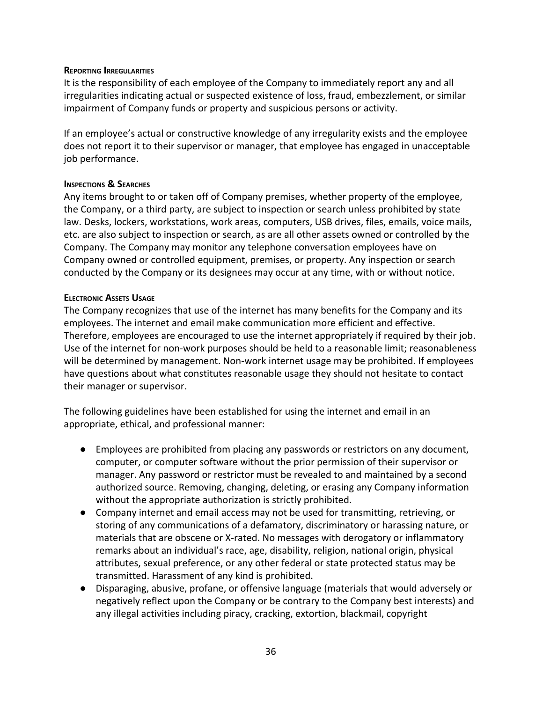#### **REPORTING IRREGULARITIES**

It is the responsibility of each employee of the Company to immediately report any and all irregularities indicating actual or suspected existence of loss, fraud, embezzlement, or similar impairment of Company funds or property and suspicious persons or activity.

If an employee's actual or constructive knowledge of any irregularity exists and the employee does not report it to their supervisor or manager, that employee has engaged in unacceptable job performance.

#### <span id="page-35-0"></span>**INSPECTIONS & SEARCHES**

Any items brought to or taken off of Company premises, whether property of the employee, the Company, or a third party, are subject to inspection or search unless prohibited by state law. Desks, lockers, workstations, work areas, computers, USB drives, files, emails, voice mails, etc. are also subject to inspection or search, as are all other assets owned or controlled by the Company. The Company may monitor any telephone conversation employees have on Company owned or controlled equipment, premises, or property. Any inspection or search conducted by the Company or its designees may occur at any time, with or without notice.

#### <span id="page-35-1"></span>**ELECTRONIC ASSETS USAGE**

The Company recognizes that use of the internet has many benefits for the Company and its employees. The internet and email make communication more efficient and effective. Therefore, employees are encouraged to use the internet appropriately if required by their job. Use of the internet for non-work purposes should be held to a reasonable limit; reasonableness will be determined by management. Non-work internet usage may be prohibited. If employees have questions about what constitutes reasonable usage they should not hesitate to contact their manager or supervisor.

The following guidelines have been established for using the internet and email in an appropriate, ethical, and professional manner:

- Employees are prohibited from placing any passwords or restrictors on any document, computer, or computer software without the prior permission of their supervisor or manager. Any password or restrictor must be revealed to and maintained by a second authorized source. Removing, changing, deleting, or erasing any Company information without the appropriate authorization is strictly prohibited.
- Company internet and email access may not be used for transmitting, retrieving, or storing of any communications of a defamatory, discriminatory or harassing nature, or materials that are obscene or X-rated. No messages with derogatory or inflammatory remarks about an individual's race, age, disability, religion, national origin, physical attributes, sexual preference, or any other federal or state protected status may be transmitted. Harassment of any kind is prohibited.
- Disparaging, abusive, profane, or offensive language (materials that would adversely or negatively reflect upon the Company or be contrary to the Company best interests) and any illegal activities including piracy, cracking, extortion, blackmail, copyright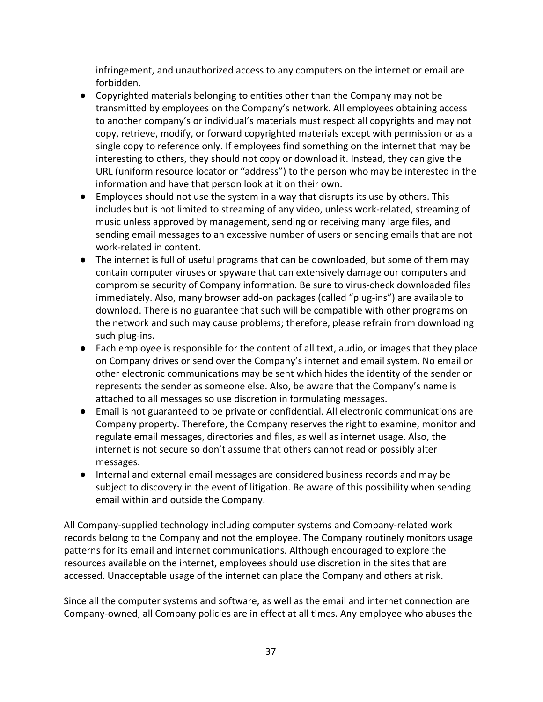infringement, and unauthorized access to any computers on the internet or email are forbidden.

- Copyrighted materials belonging to entities other than the Company may not be transmitted by employees on the Company's network. All employees obtaining access to another company's or individual's materials must respect all copyrights and may not copy, retrieve, modify, or forward copyrighted materials except with permission or as a single copy to reference only. If employees find something on the internet that may be interesting to others, they should not copy or download it. Instead, they can give the URL (uniform resource locator or "address") to the person who may be interested in the information and have that person look at it on their own.
- Employees should not use the system in a way that disrupts its use by others. This includes but is not limited to streaming of any video, unless work-related, streaming of music unless approved by management, sending or receiving many large files, and sending email messages to an excessive number of users or sending emails that are not work-related in content.
- The internet is full of useful programs that can be downloaded, but some of them may contain computer viruses or spyware that can extensively damage our computers and compromise security of Company information. Be sure to virus-check downloaded files immediately. Also, many browser add-on packages (called "plug-ins") are available to download. There is no guarantee that such will be compatible with other programs on the network and such may cause problems; therefore, please refrain from downloading such plug-ins.
- Each employee is responsible for the content of all text, audio, or images that they place on Company drives or send over the Company's internet and email system. No email or other electronic communications may be sent which hides the identity of the sender or represents the sender as someone else. Also, be aware that the Company's name is attached to all messages so use discretion in formulating messages.
- Email is not guaranteed to be private or confidential. All electronic communications are Company property. Therefore, the Company reserves the right to examine, monitor and regulate email messages, directories and files, as well as internet usage. Also, the internet is not secure so don't assume that others cannot read or possibly alter messages.
- Internal and external email messages are considered business records and may be subject to discovery in the event of litigation. Be aware of this possibility when sending email within and outside the Company.

All Company-supplied technology including computer systems and Company-related work records belong to the Company and not the employee. The Company routinely monitors usage patterns for its email and internet communications. Although encouraged to explore the resources available on the internet, employees should use discretion in the sites that are accessed. Unacceptable usage of the internet can place the Company and others at risk.

Since all the computer systems and software, as well as the email and internet connection are Company-owned, all Company policies are in effect at all times. Any employee who abuses the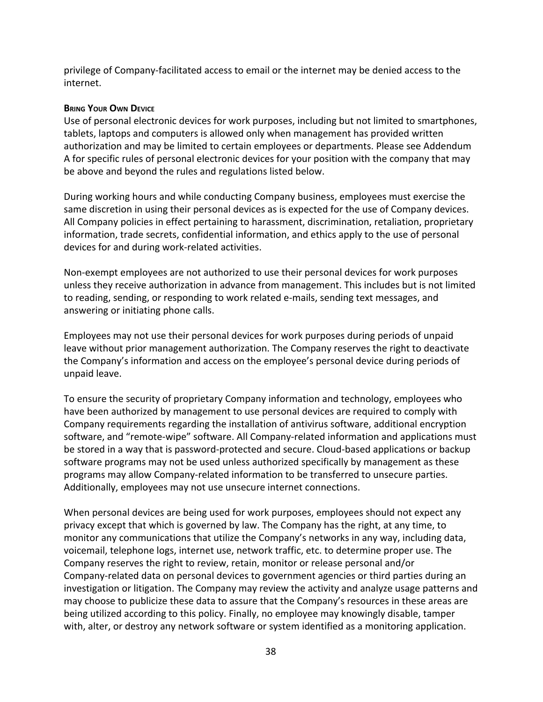privilege of Company-facilitated access to email or the internet may be denied access to the internet.

## <span id="page-37-0"></span>**BRING YOUR OWN DEVICE**

Use of personal electronic devices for work purposes, including but not limited to smartphones, tablets, laptops and computers is allowed only when management has provided written authorization and may be limited to certain employees or departments. Please see Addendum A for specific rules of personal electronic devices for your position with the company that may be above and beyond the rules and regulations listed below.

During working hours and while conducting Company business, employees must exercise the same discretion in using their personal devices as is expected for the use of Company devices. All Company policies in effect pertaining to harassment, discrimination, retaliation, proprietary information, trade secrets, confidential information, and ethics apply to the use of personal devices for and during work-related activities.

Non-exempt employees are not authorized to use their personal devices for work purposes unless they receive authorization in advance from management. This includes but is not limited to reading, sending, or responding to work related e-mails, sending text messages, and answering or initiating phone calls.

Employees may not use their personal devices for work purposes during periods of unpaid leave without prior management authorization. The Company reserves the right to deactivate the Company's information and access on the employee's personal device during periods of unpaid leave.

To ensure the security of proprietary Company information and technology, employees who have been authorized by management to use personal devices are required to comply with Company requirements regarding the installation of antivirus software, additional encryption software, and "remote-wipe" software. All Company-related information and applications must be stored in a way that is password-protected and secure. Cloud-based applications or backup software programs may not be used unless authorized specifically by management as these programs may allow Company-related information to be transferred to unsecure parties. Additionally, employees may not use unsecure internet connections.

When personal devices are being used for work purposes, employees should not expect any privacy except that which is governed by law. The Company has the right, at any time, to monitor any communications that utilize the Company's networks in any way, including data, voicemail, telephone logs, internet use, network traffic, etc. to determine proper use. The Company reserves the right to review, retain, monitor or release personal and/or Company-related data on personal devices to government agencies or third parties during an investigation or litigation. The Company may review the activity and analyze usage patterns and may choose to publicize these data to assure that the Company's resources in these areas are being utilized according to this policy. Finally, no employee may knowingly disable, tamper with, alter, or destroy any network software or system identified as a monitoring application.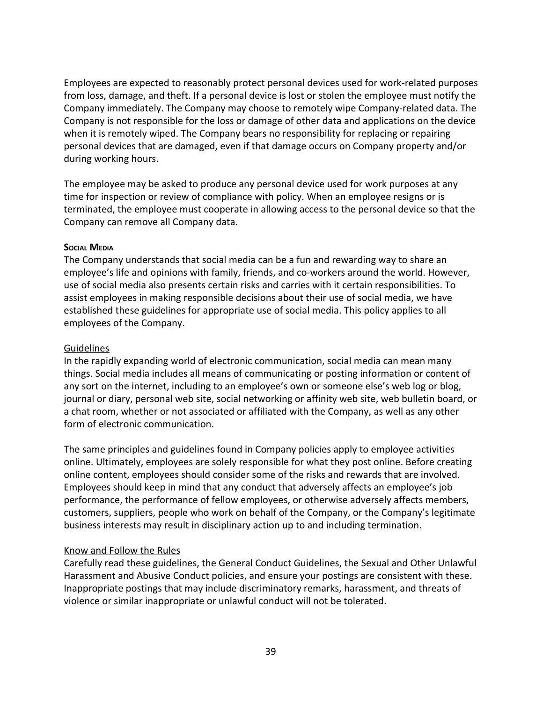Employees are expected to reasonably protect personal devices used for work-related purposes from loss, damage, and theft. If a personal device is lost or stolen the employee must notify the Company immediately. The Company may choose to remotely wipe Company-related data. The Company is not responsible for the loss or damage of other data and applications on the device when it is remotely wiped. The Company bears no responsibility for replacing or repairing personal devices that are damaged, even if that damage occurs on Company property and/or during working hours.

The employee may be asked to produce any personal device used for work purposes at any time for inspection or review of compliance with policy. When an employee resigns or is terminated, the employee must cooperate in allowing access to the personal device so that the Company can remove all Company data.

## **SOCIAL MEDIA**

The Company understands that social media can be a fun and rewarding way to share an employee's life and opinions with family, friends, and co-workers around the world. However, use of social media also presents certain risks and carries with it certain responsibilities. To assist employees in making responsible decisions about their use of social media, we have established these guidelines for appropriate use of social media. This policy applies to all employees of the Company.

## **Guidelines**

In the rapidly expanding world of electronic communication, social media can mean many things. Social media includes all means of communicating or posting information or content of any sort on the internet, including to an employee's own or someone else's web log or blog, journal or diary, personal web site, social networking or affinity web site, web bulletin board, or a chat room, whether or not associated or affiliated with the Company, as well as any other form of electronic communication.

The same principles and guidelines found in Company policies apply to employee activities online. Ultimately, employees are solely responsible for what they post online. Before creating online content, employees should consider some of the risks and rewards that are involved. Employees should keep in mind that any conduct that adversely affects an employee's job performance, the performance of fellow employees, or otherwise adversely affects members, customers, suppliers, people who work on behalf of the Company, or the Company's legitimate business interests may result in disciplinary action up to and including termination.

## Know and Follow the Rules

Carefully read these guidelines, the General Conduct Guidelines, the Sexual and Other Unlawful Harassment and Abusive Conduct policies, and ensure your postings are consistent with these. Inappropriate postings that may include discriminatory remarks, harassment, and threats of violence or similar inappropriate or unlawful conduct will not be tolerated.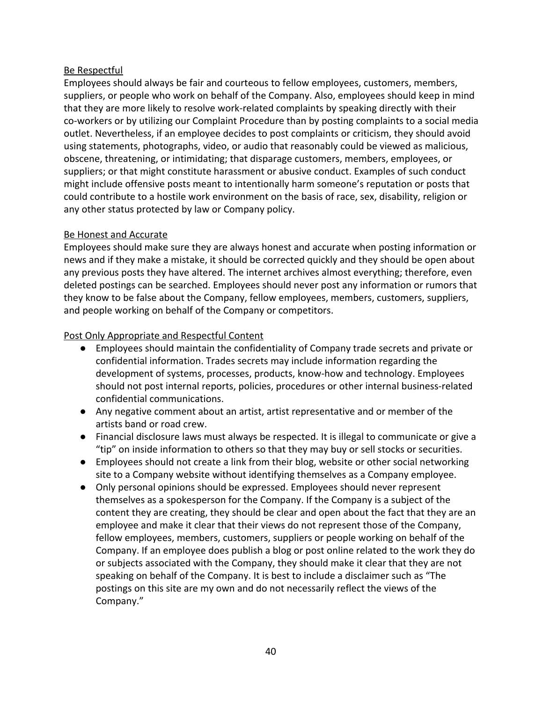# Be Respectful

Employees should always be fair and courteous to fellow employees, customers, members, suppliers, or people who work on behalf of the Company. Also, employees should keep in mind that they are more likely to resolve work-related complaints by speaking directly with their co-workers or by utilizing our Complaint Procedure than by posting complaints to a social media outlet. Nevertheless, if an employee decides to post complaints or criticism, they should avoid using statements, photographs, video, or audio that reasonably could be viewed as malicious, obscene, threatening, or intimidating; that disparage customers, members, employees, or suppliers; or that might constitute harassment or abusive conduct. Examples of such conduct might include offensive posts meant to intentionally harm someone's reputation or posts that could contribute to a hostile work environment on the basis of race, sex, disability, religion or any other status protected by law or Company policy.

## Be Honest and Accurate

Employees should make sure they are always honest and accurate when posting information or news and if they make a mistake, it should be corrected quickly and they should be open about any previous posts they have altered. The internet archives almost everything; therefore, even deleted postings can be searched. Employees should never post any information or rumors that they know to be false about the Company, fellow employees, members, customers, suppliers, and people working on behalf of the Company or competitors.

## Post Only Appropriate and Respectful Content

- Employees should maintain the confidentiality of Company trade secrets and private or confidential information. Trades secrets may include information regarding the development of systems, processes, products, know-how and technology. Employees should not post internal reports, policies, procedures or other internal business-related confidential communications.
- Any negative comment about an artist, artist representative and or member of the artists band or road crew.
- Financial disclosure laws must always be respected. It is illegal to communicate or give a "tip" on inside information to others so that they may buy or sell stocks or securities.
- Employees should not create a link from their blog, website or other social networking site to a Company website without identifying themselves as a Company employee.
- Only personal opinions should be expressed. Employees should never represent themselves as a spokesperson for the Company. If the Company is a subject of the content they are creating, they should be clear and open about the fact that they are an employee and make it clear that their views do not represent those of the Company, fellow employees, members, customers, suppliers or people working on behalf of the Company. If an employee does publish a blog or post online related to the work they do or subjects associated with the Company, they should make it clear that they are not speaking on behalf of the Company. It is best to include a disclaimer such as "The postings on this site are my own and do not necessarily reflect the views of the Company."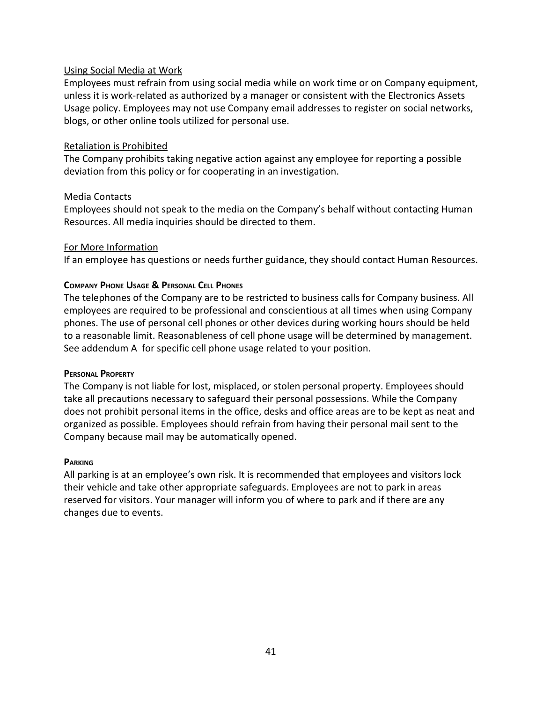## Using Social Media at Work

Employees must refrain from using social media while on work time or on Company equipment, unless it is work-related as authorized by a manager or consistent with the Electronics Assets Usage policy. Employees may not use Company email addresses to register on social networks, blogs, or other online tools utilized for personal use.

#### Retaliation is Prohibited

The Company prohibits taking negative action against any employee for reporting a possible deviation from this policy or for cooperating in an investigation.

#### Media Contacts

Employees should not speak to the media on the Company's behalf without contacting Human Resources. All media inquiries should be directed to them.

#### For More Information

<span id="page-40-0"></span>If an employee has questions or needs further guidance, they should contact Human Resources.

#### **COMPANY PHONE USAGE & PERSONAL CELL PHONES**

The telephones of the Company are to be restricted to business calls for Company business. All employees are required to be professional and conscientious at all times when using Company phones. The use of personal cell phones or other devices during working hours should be held to a reasonable limit. Reasonableness of cell phone usage will be determined by management. See addendum A for specific cell phone usage related to your position.

#### <span id="page-40-1"></span>**PERSONAL PROPERTY**

The Company is not liable for lost, misplaced, or stolen personal property. Employees should take all precautions necessary to safeguard their personal possessions. While the Company does not prohibit personal items in the office, desks and office areas are to be kept as neat and organized as possible. Employees should refrain from having their personal mail sent to the Company because mail may be automatically opened.

#### <span id="page-40-2"></span>**PARKING**

<span id="page-40-3"></span>All parking is at an employee's own risk. It is recommended that employees and visitors lock their vehicle and take other appropriate safeguards. Employees are not to park in areas reserved for visitors. Your manager will inform you of where to park and if there are any changes due to events.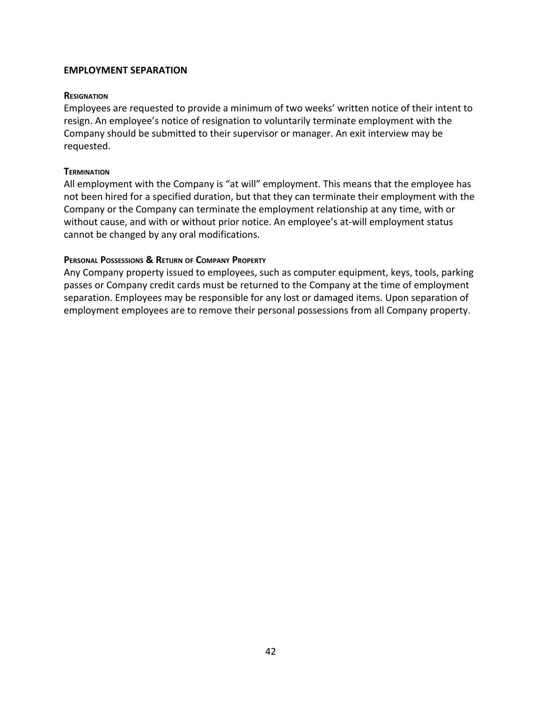#### <span id="page-41-0"></span>**EMPLOYMENT SEPARATION**

#### **RESIGNATION**

Employees are requested to provide a minimum of two weeks' written notice of their intent to resign. An employee's notice of resignation to voluntarily terminate employment with the Company should be submitted to their supervisor or manager. An exit interview may be requested.

#### <span id="page-41-1"></span>**TERMINATION**

All employment with the Company is "at will" employment. This means that the employee has not been hired for a specified duration, but that they can terminate their employment with the Company or the Company can terminate the employment relationship at any time, with or without cause, and with or without prior notice. An employee's at-will employment status cannot be changed by any oral modifications.

#### <span id="page-41-2"></span>**PERSONAL POSSESSIONS & RETURN OF COMPANY PROPERTY**

Any Company property issued to employees, such as computer equipment, keys, tools, parking passes or Company credit cards must be returned to the Company at the time of employment separation. Employees may be responsible for any lost or damaged items. Upon separation of employment employees are to remove their personal possessions from all Company property.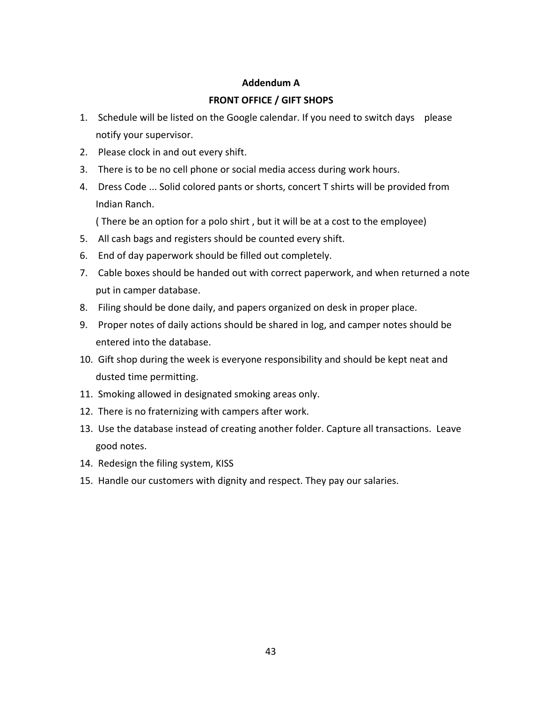# **FRONT OFFICE / GIFT SHOPS**

- 1. Schedule will be listed on the Google calendar. If you need to switch days please notify your supervisor.
- 2. Please clock in and out every shift.
- 3. There is to be no cell phone or social media access during work hours.
- 4. Dress Code ... Solid colored pants or shorts, concert T shirts will be provided from Indian Ranch.

( There be an option for a polo shirt , but it will be at a cost to the employee)

- 5. All cash bags and registers should be counted every shift.
- 6. End of day paperwork should be filled out completely.
- 7. Cable boxes should be handed out with correct paperwork, and when returned a note put in camper database.
- 8. Filing should be done daily, and papers organized on desk in proper place.
- 9. Proper notes of daily actions should be shared in log, and camper notes should be entered into the database.
- 10. Gift shop during the week is everyone responsibility and should be kept neat and dusted time permitting.
- 11. Smoking allowed in designated smoking areas only.
- 12. There is no fraternizing with campers after work.
- 13. Use the database instead of creating another folder. Capture all transactions. Leave good notes.
- 14. Redesign the filing system, KISS
- 15. Handle our customers with dignity and respect. They pay our salaries.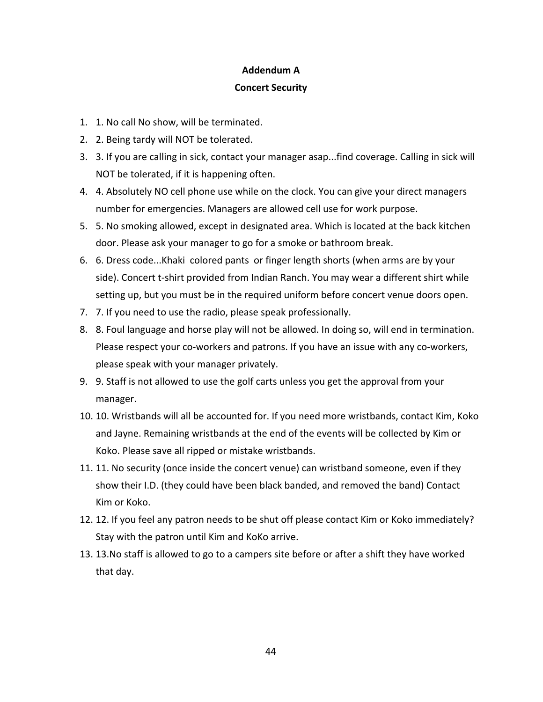#### **Concert Security**

- 1. 1. No call No show, will be terminated.
- 2. 2. Being tardy will NOT be tolerated.
- 3. 3. If you are calling in sick, contact your manager asap...find coverage. Calling in sick will NOT be tolerated, if it is happening often.
- 4. 4. Absolutely NO cell phone use while on the clock. You can give your direct managers number for emergencies. Managers are allowed cell use for work purpose.
- 5. 5. No smoking allowed, except in designated area. Which is located at the back kitchen door. Please ask your manager to go for a smoke or bathroom break.
- 6. 6. Dress code...Khaki colored pants or finger length shorts (when arms are by your side). Concert t-shirt provided from Indian Ranch. You may wear a different shirt while setting up, but you must be in the required uniform before concert venue doors open.
- 7. 7. If you need to use the radio, please speak professionally.
- 8. 8. Foul language and horse play will not be allowed. In doing so, will end in termination. Please respect your co-workers and patrons. If you have an issue with any co-workers, please speak with your manager privately.
- 9. 9. Staff is not allowed to use the golf carts unless you get the approval from your manager.
- 10. 10. Wristbands will all be accounted for. If you need more wristbands, contact Kim, Koko and Jayne. Remaining wristbands at the end of the events will be collected by Kim or Koko. Please save all ripped or mistake wristbands.
- 11. 11. No security (once inside the concert venue) can wristband someone, even if they show their I.D. (they could have been black banded, and removed the band) Contact Kim or Koko.
- 12. 12. If you feel any patron needs to be shut off please contact Kim or Koko immediately? Stay with the patron until Kim and KoKo arrive.
- 13. 13.No staff is allowed to go to a campers site before or after a shift they have worked that day.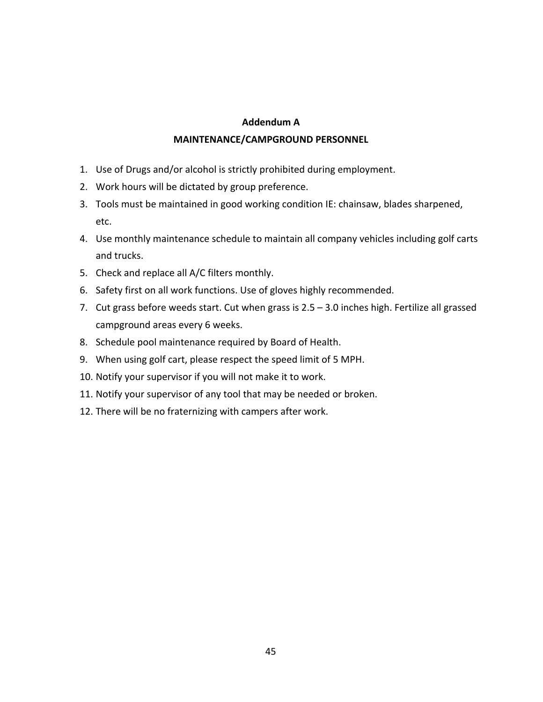## **MAINTENANCE/CAMPGROUND PERSONNEL**

- 1. Use of Drugs and/or alcohol is strictly prohibited during employment.
- 2. Work hours will be dictated by group preference.
- 3. Tools must be maintained in good working condition IE: chainsaw, blades sharpened, etc.
- 4. Use monthly maintenance schedule to maintain all company vehicles including golf carts and trucks.
- 5. Check and replace all A/C filters monthly.
- 6. Safety first on all work functions. Use of gloves highly recommended.
- 7. Cut grass before weeds start. Cut when grass is 2.5 3.0 inches high. Fertilize all grassed campground areas every 6 weeks.
- 8. Schedule pool maintenance required by Board of Health.
- 9. When using golf cart, please respect the speed limit of 5 MPH.
- 10. Notify your supervisor if you will not make it to work.
- 11. Notify your supervisor of any tool that may be needed or broken.
- 12. There will be no fraternizing with campers after work.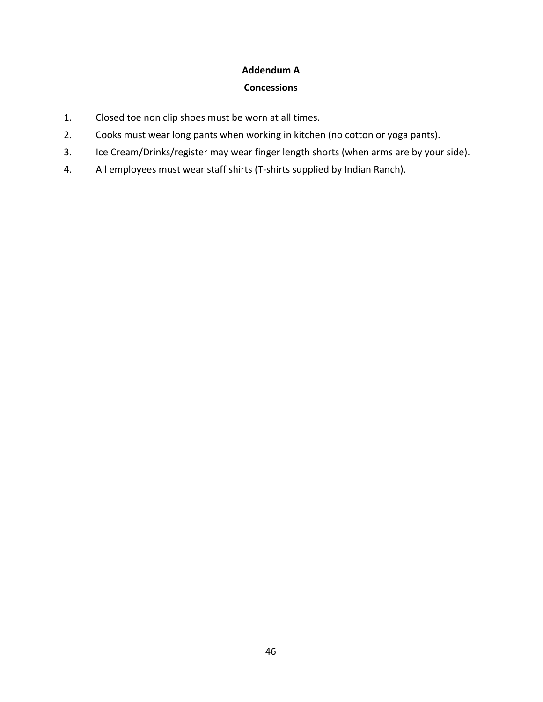## **Concessions**

- 1. Closed toe non clip shoes must be worn at all times.
- 2. Cooks must wear long pants when working in kitchen (no cotton or yoga pants).
- 3. Ice Cream/Drinks/register may wear finger length shorts (when arms are by your side).
- 4. All employees must wear staff shirts (T-shirts supplied by Indian Ranch).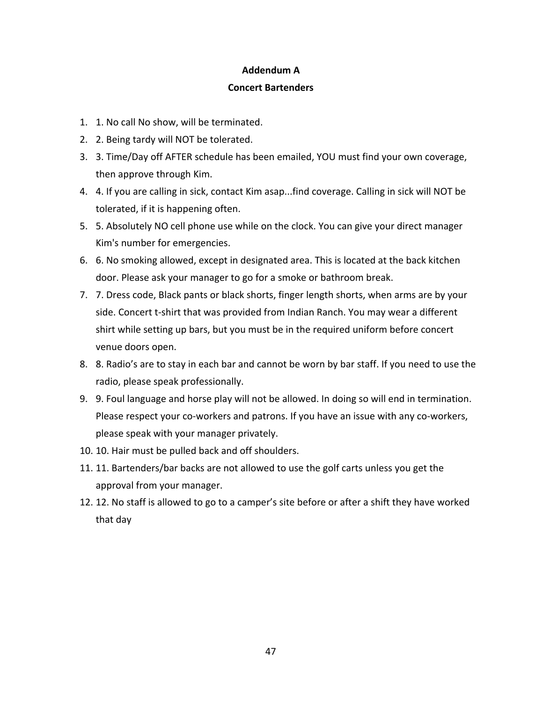## **Concert Bartenders**

- 1. 1. No call No show, will be terminated.
- 2. 2. Being tardy will NOT be tolerated.
- 3. 3. Time/Day off AFTER schedule has been emailed, YOU must find your own coverage, then approve through Kim.
- 4. 4. If you are calling in sick, contact Kim asap...find coverage. Calling in sick will NOT be tolerated, if it is happening often.
- 5. 5. Absolutely NO cell phone use while on the clock. You can give your direct manager Kim's number for emergencies.
- 6. 6. No smoking allowed, except in designated area. This is located at the back kitchen door. Please ask your manager to go for a smoke or bathroom break.
- 7. 7. Dress code, Black pants or black shorts, finger length shorts, when arms are by your side. Concert t-shirt that was provided from Indian Ranch. You may wear a different shirt while setting up bars, but you must be in the required uniform before concert venue doors open.
- 8. 8. Radio's are to stay in each bar and cannot be worn by bar staff. If you need to use the radio, please speak professionally.
- 9. 9. Foul language and horse play will not be allowed. In doing so will end in termination. Please respect your co-workers and patrons. If you have an issue with any co-workers, please speak with your manager privately.
- 10. 10. Hair must be pulled back and off shoulders.
- 11. 11. Bartenders/bar backs are not allowed to use the golf carts unless you get the approval from your manager.
- 12. 12. No staff is allowed to go to a camper's site before or after a shift they have worked that day